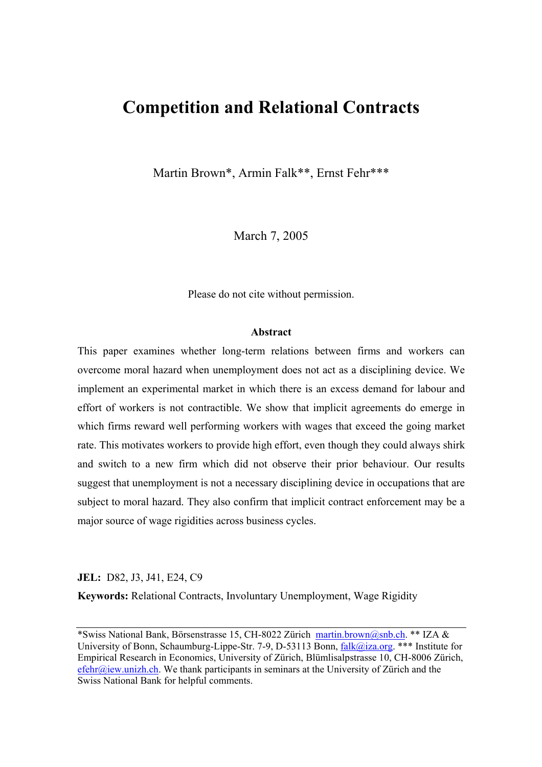# **Competition and Relational Contracts**

Martin Brown\*, Armin Falk\*\*, Ernst Fehr\*\*\*

March 7, 2005

Please do not cite without permission.

#### **Abstract**

This paper examines whether long-term relations between firms and workers can overcome moral hazard when unemployment does not act as a disciplining device. We implement an experimental market in which there is an excess demand for labour and effort of workers is not contractible. We show that implicit agreements do emerge in which firms reward well performing workers with wages that exceed the going market rate. This motivates workers to provide high effort, even though they could always shirk and switch to a new firm which did not observe their prior behaviour. Our results suggest that unemployment is not a necessary disciplining device in occupations that are subject to moral hazard. They also confirm that implicit contract enforcement may be a major source of wage rigidities across business cycles.

## **JEL:** D82, J3, J41, E24, C9

**Keywords:** Relational Contracts, Involuntary Unemployment, Wage Rigidity

<sup>\*</sup>Swiss National Bank, Börsenstrasse 15, CH-8022 Zürich martin.brown@snb.ch. \*\* IZA & University of Bonn, Schaumburg-Lippe-Str. 7-9, D-53113 Bonn, falk@iza.org. \*\*\* Institute for Empirical Research in Economics, University of Zürich, Blümlisalpstrasse 10, CH-8006 Zürich, efehr@iew.unizh.ch. We thank participants in seminars at the University of Zürich and the Swiss National Bank for helpful comments.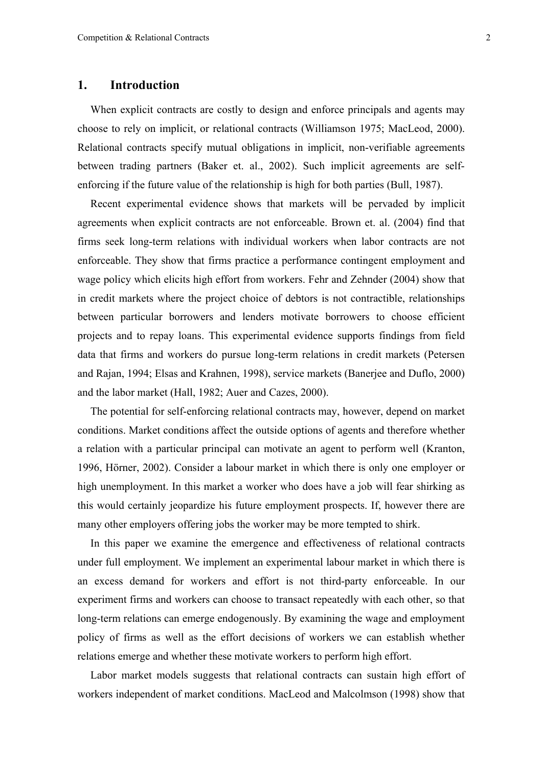## **1. Introduction**

When explicit contracts are costly to design and enforce principals and agents may choose to rely on implicit, or relational contracts (Williamson 1975; MacLeod, 2000). Relational contracts specify mutual obligations in implicit, non-verifiable agreements between trading partners (Baker et. al., 2002). Such implicit agreements are selfenforcing if the future value of the relationship is high for both parties (Bull, 1987).

Recent experimental evidence shows that markets will be pervaded by implicit agreements when explicit contracts are not enforceable. Brown et. al. (2004) find that firms seek long-term relations with individual workers when labor contracts are not enforceable. They show that firms practice a performance contingent employment and wage policy which elicits high effort from workers. Fehr and Zehnder (2004) show that in credit markets where the project choice of debtors is not contractible, relationships between particular borrowers and lenders motivate borrowers to choose efficient projects and to repay loans. This experimental evidence supports findings from field data that firms and workers do pursue long-term relations in credit markets (Petersen and Rajan, 1994; Elsas and Krahnen, 1998), service markets (Banerjee and Duflo, 2000) and the labor market (Hall, 1982; Auer and Cazes, 2000).

The potential for self-enforcing relational contracts may, however, depend on market conditions. Market conditions affect the outside options of agents and therefore whether a relation with a particular principal can motivate an agent to perform well (Kranton, 1996, Hörner, 2002). Consider a labour market in which there is only one employer or high unemployment. In this market a worker who does have a job will fear shirking as this would certainly jeopardize his future employment prospects. If, however there are many other employers offering jobs the worker may be more tempted to shirk.

In this paper we examine the emergence and effectiveness of relational contracts under full employment. We implement an experimental labour market in which there is an excess demand for workers and effort is not third-party enforceable. In our experiment firms and workers can choose to transact repeatedly with each other, so that long-term relations can emerge endogenously. By examining the wage and employment policy of firms as well as the effort decisions of workers we can establish whether relations emerge and whether these motivate workers to perform high effort.

Labor market models suggests that relational contracts can sustain high effort of workers independent of market conditions. MacLeod and Malcolmson (1998) show that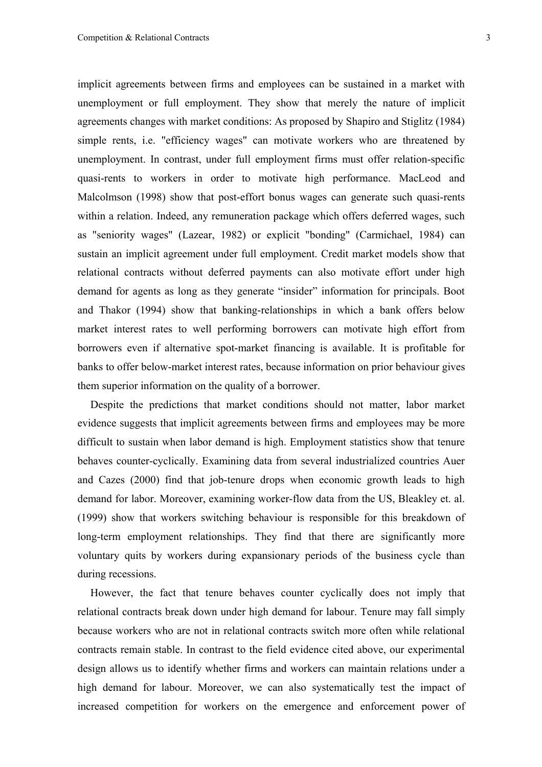implicit agreements between firms and employees can be sustained in a market with unemployment or full employment. They show that merely the nature of implicit agreements changes with market conditions: As proposed by Shapiro and Stiglitz (1984) simple rents, i.e. "efficiency wages" can motivate workers who are threatened by unemployment. In contrast, under full employment firms must offer relation-specific quasi-rents to workers in order to motivate high performance. MacLeod and Malcolmson (1998) show that post-effort bonus wages can generate such quasi-rents within a relation. Indeed, any remuneration package which offers deferred wages, such as "seniority wages" (Lazear, 1982) or explicit "bonding" (Carmichael, 1984) can sustain an implicit agreement under full employment. Credit market models show that relational contracts without deferred payments can also motivate effort under high demand for agents as long as they generate "insider" information for principals. Boot and Thakor (1994) show that banking-relationships in which a bank offers below market interest rates to well performing borrowers can motivate high effort from borrowers even if alternative spot-market financing is available. It is profitable for banks to offer below-market interest rates, because information on prior behaviour gives them superior information on the quality of a borrower.

Despite the predictions that market conditions should not matter, labor market evidence suggests that implicit agreements between firms and employees may be more difficult to sustain when labor demand is high. Employment statistics show that tenure behaves counter-cyclically. Examining data from several industrialized countries Auer and Cazes (2000) find that job-tenure drops when economic growth leads to high demand for labor. Moreover, examining worker-flow data from the US, Bleakley et. al. (1999) show that workers switching behaviour is responsible for this breakdown of long-term employment relationships. They find that there are significantly more voluntary quits by workers during expansionary periods of the business cycle than during recessions.

However, the fact that tenure behaves counter cyclically does not imply that relational contracts break down under high demand for labour. Tenure may fall simply because workers who are not in relational contracts switch more often while relational contracts remain stable. In contrast to the field evidence cited above, our experimental design allows us to identify whether firms and workers can maintain relations under a high demand for labour. Moreover, we can also systematically test the impact of increased competition for workers on the emergence and enforcement power of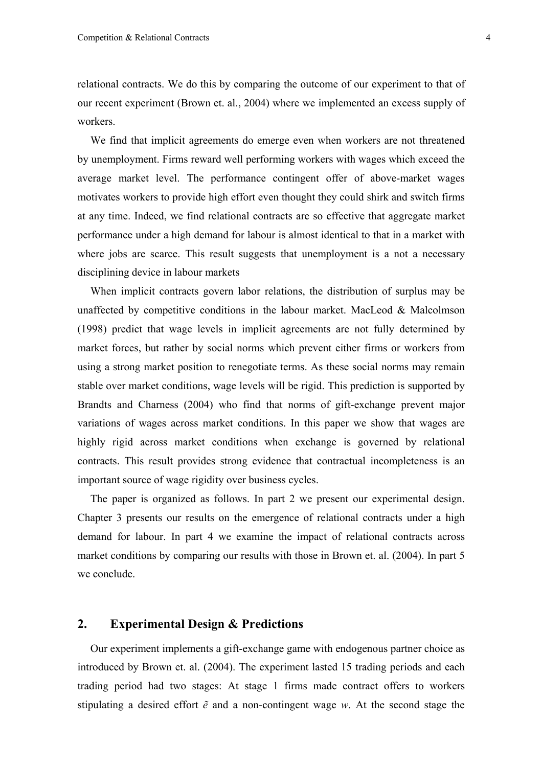relational contracts. We do this by comparing the outcome of our experiment to that of our recent experiment (Brown et. al., 2004) where we implemented an excess supply of workers.

We find that implicit agreements do emerge even when workers are not threatened by unemployment. Firms reward well performing workers with wages which exceed the average market level. The performance contingent offer of above-market wages motivates workers to provide high effort even thought they could shirk and switch firms at any time. Indeed, we find relational contracts are so effective that aggregate market performance under a high demand for labour is almost identical to that in a market with where jobs are scarce. This result suggests that unemployment is a not a necessary disciplining device in labour markets

When implicit contracts govern labor relations, the distribution of surplus may be unaffected by competitive conditions in the labour market. MacLeod & Malcolmson (1998) predict that wage levels in implicit agreements are not fully determined by market forces, but rather by social norms which prevent either firms or workers from using a strong market position to renegotiate terms. As these social norms may remain stable over market conditions, wage levels will be rigid. This prediction is supported by Brandts and Charness (2004) who find that norms of gift-exchange prevent major variations of wages across market conditions. In this paper we show that wages are highly rigid across market conditions when exchange is governed by relational contracts. This result provides strong evidence that contractual incompleteness is an important source of wage rigidity over business cycles.

The paper is organized as follows. In part 2 we present our experimental design. Chapter 3 presents our results on the emergence of relational contracts under a high demand for labour. In part 4 we examine the impact of relational contracts across market conditions by comparing our results with those in Brown et. al. (2004). In part 5 we conclude.

## **2. Experimental Design & Predictions**

Our experiment implements a gift-exchange game with endogenous partner choice as introduced by Brown et. al. (2004). The experiment lasted 15 trading periods and each trading period had two stages: At stage 1 firms made contract offers to workers stipulating a desired effort *ẽ* and a non-contingent wage *w*. At the second stage the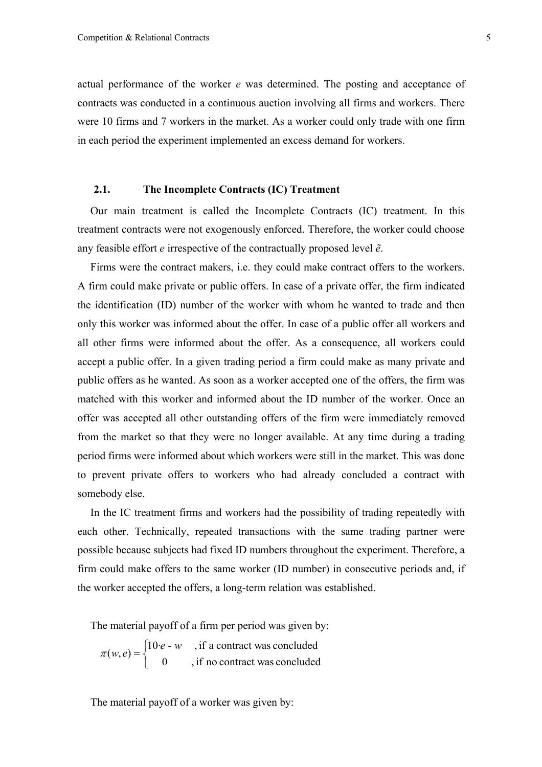actual performance of the worker *e* was determined. The posting and acceptance of contracts was conducted in a continuous auction involving all firms and workers. There were 10 firms and 7 workers in the market. As a worker could only trade with one firm in each period the experiment implemented an excess demand for workers.

#### **2.1. The Incomplete Contracts (IC) Treatment**

Our main treatment is called the Incomplete Contracts (IC) treatment. In this treatment contracts were not exogenously enforced. Therefore, the worker could choose any feasible effort *e* irrespective of the contractually proposed level *ẽ*.

Firms were the contract makers, i.e. they could make contract offers to the workers. A firm could make private or public offers. In case of a private offer, the firm indicated the identification (ID) number of the worker with whom he wanted to trade and then only this worker was informed about the offer. In case of a public offer all workers and all other firms were informed about the offer. As a consequence, all workers could accept a public offer. In a given trading period a firm could make as many private and public offers as he wanted. As soon as a worker accepted one of the offers, the firm was matched with this worker and informed about the ID number of the worker. Once an offer was accepted all other outstanding offers of the firm were immediately removed from the market so that they were no longer available. At any time during a trading period firms were informed about which workers were still in the market. This was done to prevent private offers to workers who had already concluded a contract with somebody else.

In the IC treatment firms and workers had the possibility of trading repeatedly with each other. Technically, repeated transactions with the same trading partner were possible because subjects had fixed ID numbers throughout the experiment. Therefore, a firm could make offers to the same worker (ID number) in consecutive periods and, if the worker accepted the offers, a long-term relation was established.

The material payoff of a firm per period was given by:

$$
\pi(w, e) = \begin{cases} 10 \cdot e - w & , \text{if a contract was concluded} \\ 0 & , \text{if no contract was concluded} \end{cases}
$$

The material payoff of a worker was given by: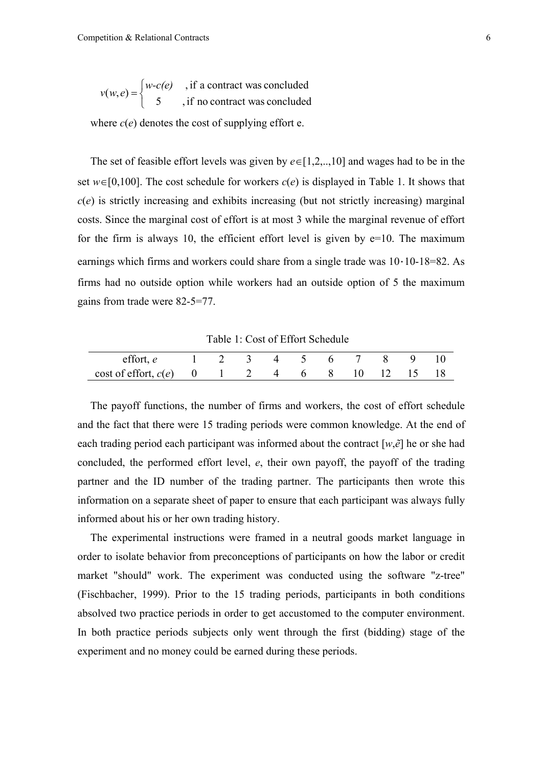$\overline{\mathcal{L}}$  $v(w, e) =\begin{cases} w-c(e) \\ 5 \end{cases}$ , if a contract was concluded

where  $c(e)$  denotes the cost of supplying effort e.

The set of feasible effort levels was given by *e*∈[1,2,..,10] and wages had to be in the set  $w \in [0,100]$ . The cost schedule for workers  $c(e)$  is displayed in Table 1. It shows that  $c(e)$  is strictly increasing and exhibits increasing (but not strictly increasing) marginal costs. Since the marginal cost of effort is at most 3 while the marginal revenue of effort for the firm is always 10, the efficient effort level is given by  $e=10$ . The maximum earnings which firms and workers could share from a single trade was 10·10-18=82. As firms had no outside option while workers had an outside option of 5 the maximum gains from trade were 82-5=77.

Table 1: Cost of Effort Schedule

| effort, e $1\quad 2\quad 3\quad 4\quad 5\quad 6\quad 7\quad 8\quad 9\quad 10$ |  |  |  |  |  |
|-------------------------------------------------------------------------------|--|--|--|--|--|
| $\cot 6$ cost of effort, $c(e)$ 0 1 2 4 6 8 10 12 15 18                       |  |  |  |  |  |

The payoff functions, the number of firms and workers, the cost of effort schedule and the fact that there were 15 trading periods were common knowledge. At the end of each trading period each participant was informed about the contract [*w*,*ẽ*] he or she had concluded, the performed effort level, *e*, their own payoff, the payoff of the trading partner and the ID number of the trading partner. The participants then wrote this information on a separate sheet of paper to ensure that each participant was always fully informed about his or her own trading history.

The experimental instructions were framed in a neutral goods market language in order to isolate behavior from preconceptions of participants on how the labor or credit market "should" work. The experiment was conducted using the software "z-tree" (Fischbacher, 1999). Prior to the 15 trading periods, participants in both conditions absolved two practice periods in order to get accustomed to the computer environment. In both practice periods subjects only went through the first (bidding) stage of the experiment and no money could be earned during these periods.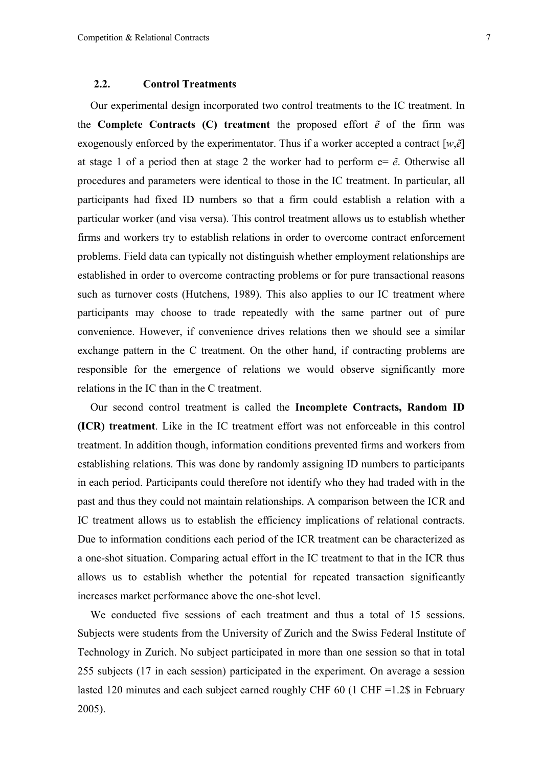#### **2.2. Control Treatments**

Our experimental design incorporated two control treatments to the IC treatment. In the **Complete Contracts** (C) treatment the proposed effort  $\tilde{e}$  of the firm was exogenously enforced by the experimentator. Thus if a worker accepted a contract [*w*,*ẽ*] at stage 1 of a period then at stage 2 the worker had to perform  $e = \tilde{e}$ . Otherwise all procedures and parameters were identical to those in the IC treatment. In particular, all participants had fixed ID numbers so that a firm could establish a relation with a particular worker (and visa versa). This control treatment allows us to establish whether firms and workers try to establish relations in order to overcome contract enforcement problems. Field data can typically not distinguish whether employment relationships are established in order to overcome contracting problems or for pure transactional reasons such as turnover costs (Hutchens, 1989). This also applies to our IC treatment where participants may choose to trade repeatedly with the same partner out of pure convenience. However, if convenience drives relations then we should see a similar exchange pattern in the C treatment. On the other hand, if contracting problems are responsible for the emergence of relations we would observe significantly more relations in the IC than in the C treatment.

Our second control treatment is called the **Incomplete Contracts, Random ID (ICR) treatment**. Like in the IC treatment effort was not enforceable in this control treatment. In addition though, information conditions prevented firms and workers from establishing relations. This was done by randomly assigning ID numbers to participants in each period. Participants could therefore not identify who they had traded with in the past and thus they could not maintain relationships. A comparison between the ICR and IC treatment allows us to establish the efficiency implications of relational contracts. Due to information conditions each period of the ICR treatment can be characterized as a one-shot situation. Comparing actual effort in the IC treatment to that in the ICR thus allows us to establish whether the potential for repeated transaction significantly increases market performance above the one-shot level.

We conducted five sessions of each treatment and thus a total of 15 sessions. Subjects were students from the University of Zurich and the Swiss Federal Institute of Technology in Zurich. No subject participated in more than one session so that in total 255 subjects (17 in each session) participated in the experiment. On average a session lasted 120 minutes and each subject earned roughly CHF 60 (1 CHF =1.2\$ in February 2005).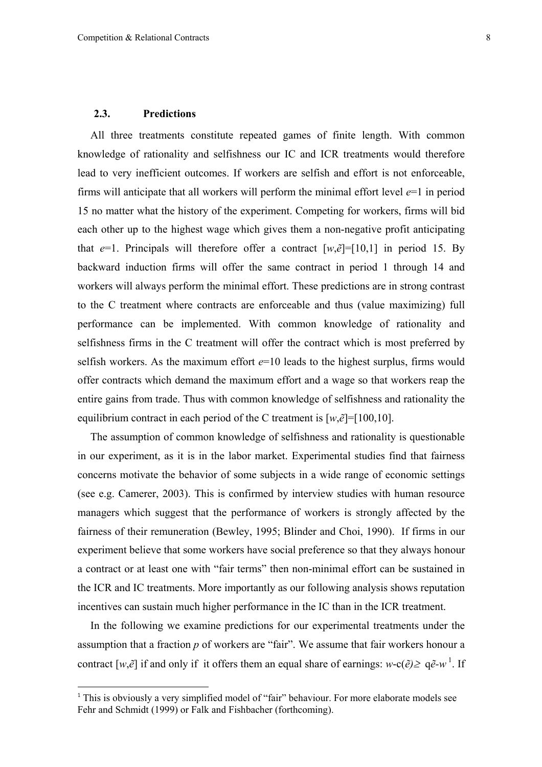#### **2.3. Predictions**

 $\overline{a}$ 

All three treatments constitute repeated games of finite length. With common knowledge of rationality and selfishness our IC and ICR treatments would therefore lead to very inefficient outcomes. If workers are selfish and effort is not enforceable, firms will anticipate that all workers will perform the minimal effort level *e*=1 in period 15 no matter what the history of the experiment. Competing for workers, firms will bid each other up to the highest wage which gives them a non-negative profit anticipating that  $e=1$ . Principals will therefore offer a contract  $[w,\tilde{e}]=[10,1]$  in period 15. By backward induction firms will offer the same contract in period 1 through 14 and workers will always perform the minimal effort. These predictions are in strong contrast to the C treatment where contracts are enforceable and thus (value maximizing) full performance can be implemented. With common knowledge of rationality and selfishness firms in the C treatment will offer the contract which is most preferred by selfish workers. As the maximum effort *e*=10 leads to the highest surplus, firms would offer contracts which demand the maximum effort and a wage so that workers reap the entire gains from trade. Thus with common knowledge of selfishness and rationality the equilibrium contract in each period of the C treatment is  $[w, \tilde{e}] = [100, 10]$ .

The assumption of common knowledge of selfishness and rationality is questionable in our experiment, as it is in the labor market. Experimental studies find that fairness concerns motivate the behavior of some subjects in a wide range of economic settings (see e.g. Camerer, 2003). This is confirmed by interview studies with human resource managers which suggest that the performance of workers is strongly affected by the fairness of their remuneration (Bewley, 1995; Blinder and Choi, 1990). If firms in our experiment believe that some workers have social preference so that they always honour a contract or at least one with "fair terms" then non-minimal effort can be sustained in the ICR and IC treatments. More importantly as our following analysis shows reputation incentives can sustain much higher performance in the IC than in the ICR treatment.

In the following we examine predictions for our experimental treatments under the assumption that a fraction *p* of workers are "fair". We assume that fair workers honour a contract  $[w,\tilde{e}]$  if and only if it offers them an equal share of earnings:  $w-c(\tilde{e}) \geq q\tilde{e}$ -w<sup>1</sup>. If

<sup>&</sup>lt;sup>1</sup> This is obviously a very simplified model of "fair" behaviour. For more elaborate models see Fehr and Schmidt (1999) or Falk and Fishbacher (forthcoming).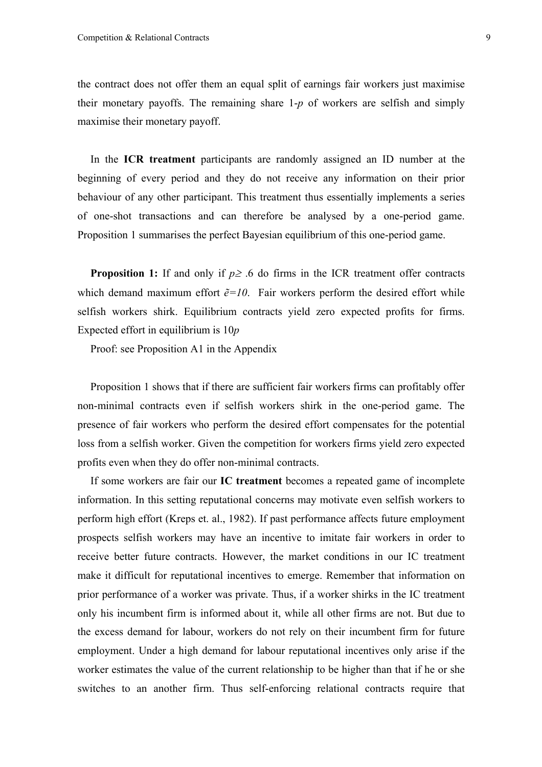the contract does not offer them an equal split of earnings fair workers just maximise their monetary payoffs. The remaining share 1-*p* of workers are selfish and simply maximise their monetary payoff.

In the **ICR treatment** participants are randomly assigned an ID number at the beginning of every period and they do not receive any information on their prior behaviour of any other participant. This treatment thus essentially implements a series of one-shot transactions and can therefore be analysed by a one-period game. Proposition 1 summarises the perfect Bayesian equilibrium of this one-period game.

**Proposition 1:** If and only if  $p \ge 0.6$  do firms in the ICR treatment offer contracts which demand maximum effort  $\tilde{e}$ =10. Fair workers perform the desired effort while selfish workers shirk. Equilibrium contracts yield zero expected profits for firms. Expected effort in equilibrium is 10*p*

Proof: see Proposition A1 in the Appendix

Proposition 1 shows that if there are sufficient fair workers firms can profitably offer non-minimal contracts even if selfish workers shirk in the one-period game. The presence of fair workers who perform the desired effort compensates for the potential loss from a selfish worker. Given the competition for workers firms yield zero expected profits even when they do offer non-minimal contracts.

If some workers are fair our **IC treatment** becomes a repeated game of incomplete information. In this setting reputational concerns may motivate even selfish workers to perform high effort (Kreps et. al., 1982). If past performance affects future employment prospects selfish workers may have an incentive to imitate fair workers in order to receive better future contracts. However, the market conditions in our IC treatment make it difficult for reputational incentives to emerge. Remember that information on prior performance of a worker was private. Thus, if a worker shirks in the IC treatment only his incumbent firm is informed about it, while all other firms are not. But due to the excess demand for labour, workers do not rely on their incumbent firm for future employment. Under a high demand for labour reputational incentives only arise if the worker estimates the value of the current relationship to be higher than that if he or she switches to an another firm. Thus self-enforcing relational contracts require that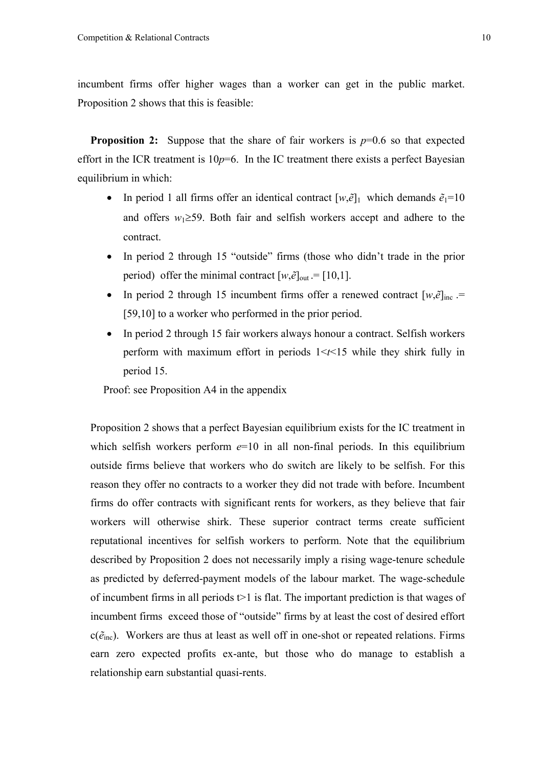incumbent firms offer higher wages than a worker can get in the public market. Proposition 2 shows that this is feasible:

**Proposition 2:** Suppose that the share of fair workers is  $p=0.6$  so that expected effort in the ICR treatment is  $10p=6$ . In the IC treatment there exists a perfect Bayesian equilibrium in which:

- In period 1 all firms offer an identical contract  $[w, \tilde{e}]_1$  which demands  $\tilde{e}_1 = 10$ and offers *w*1≥59. Both fair and selfish workers accept and adhere to the contract.
- In period 2 through 15 "outside" firms (those who didn't trade in the prior period) offer the minimal contract  $[w,\tilde{e}]_{out} = [10,1]$ .
- In period 2 through 15 incumbent firms offer a renewed contract  $[w, \tilde{e}]_{\text{inc}}$ . [59,10] to a worker who performed in the prior period.
- In period 2 through 15 fair workers always honour a contract. Selfish workers perform with maximum effort in periods 1<*t*<15 while they shirk fully in period 15.

Proof: see Proposition A4 in the appendix

Proposition 2 shows that a perfect Bayesian equilibrium exists for the IC treatment in which selfish workers perform  $e=10$  in all non-final periods. In this equilibrium outside firms believe that workers who do switch are likely to be selfish. For this reason they offer no contracts to a worker they did not trade with before. Incumbent firms do offer contracts with significant rents for workers, as they believe that fair workers will otherwise shirk. These superior contract terms create sufficient reputational incentives for selfish workers to perform. Note that the equilibrium described by Proposition 2 does not necessarily imply a rising wage-tenure schedule as predicted by deferred-payment models of the labour market. The wage-schedule of incumbent firms in all periods  $t > 1$  is flat. The important prediction is that wages of incumbent firms exceed those of "outside" firms by at least the cost of desired effort  $c(\tilde{e}_{inc})$ . Workers are thus at least as well off in one-shot or repeated relations. Firms earn zero expected profits ex-ante, but those who do manage to establish a relationship earn substantial quasi-rents.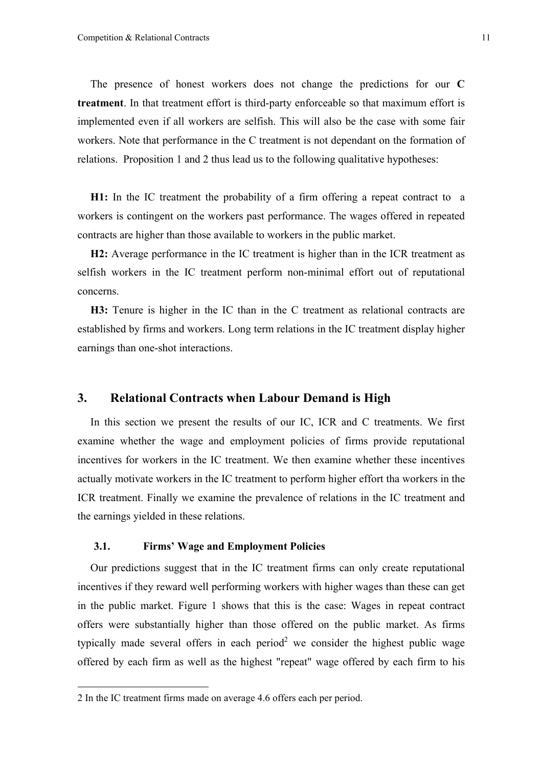The presence of honest workers does not change the predictions for our **C treatment**. In that treatment effort is third-party enforceable so that maximum effort is implemented even if all workers are selfish. This will also be the case with some fair workers. Note that performance in the C treatment is not dependant on the formation of relations. Proposition 1 and 2 thus lead us to the following qualitative hypotheses:

**H1:** In the IC treatment the probability of a firm offering a repeat contract to a workers is contingent on the workers past performance. The wages offered in repeated contracts are higher than those available to workers in the public market.

**H2:** Average performance in the IC treatment is higher than in the ICR treatment as selfish workers in the IC treatment perform non-minimal effort out of reputational concerns.

**H3:** Tenure is higher in the IC than in the C treatment as relational contracts are established by firms and workers. Long term relations in the IC treatment display higher earnings than one-shot interactions.

## **3. Relational Contracts when Labour Demand is High**

In this section we present the results of our IC, ICR and C treatments. We first examine whether the wage and employment policies of firms provide reputational incentives for workers in the IC treatment. We then examine whether these incentives actually motivate workers in the IC treatment to perform higher effort tha workers in the ICR treatment. Finally we examine the prevalence of relations in the IC treatment and the earnings yielded in these relations.

#### **3.1. Firms' Wage and Employment Policies**

Our predictions suggest that in the IC treatment firms can only create reputational incentives if they reward well performing workers with higher wages than these can get in the public market. Figure 1 shows that this is the case: Wages in repeat contract offers were substantially higher than those offered on the public market. As firms typically made several offers in each period<sup>2</sup> we consider the highest public wage offered by each firm as well as the highest "repeat" wage offered by each firm to his

 $\overline{a}$ 

<sup>2</sup> In the IC treatment firms made on average 4.6 offers each per period.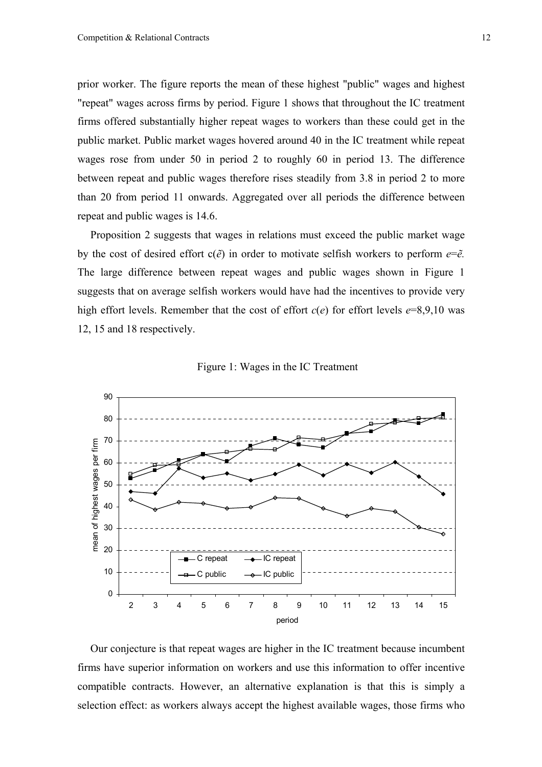prior worker. The figure reports the mean of these highest "public" wages and highest "repeat" wages across firms by period. Figure 1 shows that throughout the IC treatment firms offered substantially higher repeat wages to workers than these could get in the public market. Public market wages hovered around 40 in the IC treatment while repeat wages rose from under 50 in period 2 to roughly 60 in period 13. The difference between repeat and public wages therefore rises steadily from 3.8 in period 2 to more than 20 from period 11 onwards. Aggregated over all periods the difference between repeat and public wages is 14.6.

Proposition 2 suggests that wages in relations must exceed the public market wage by the cost of desired effort  $c(\tilde{e})$  in order to motivate selfish workers to perform  $e=\tilde{e}$ . The large difference between repeat wages and public wages shown in Figure 1 suggests that on average selfish workers would have had the incentives to provide very high effort levels. Remember that the cost of effort *c*(*e*) for effort levels *e*=8,9,10 was 12, 15 and 18 respectively.





Our conjecture is that repeat wages are higher in the IC treatment because incumbent firms have superior information on workers and use this information to offer incentive compatible contracts. However, an alternative explanation is that this is simply a selection effect: as workers always accept the highest available wages, those firms who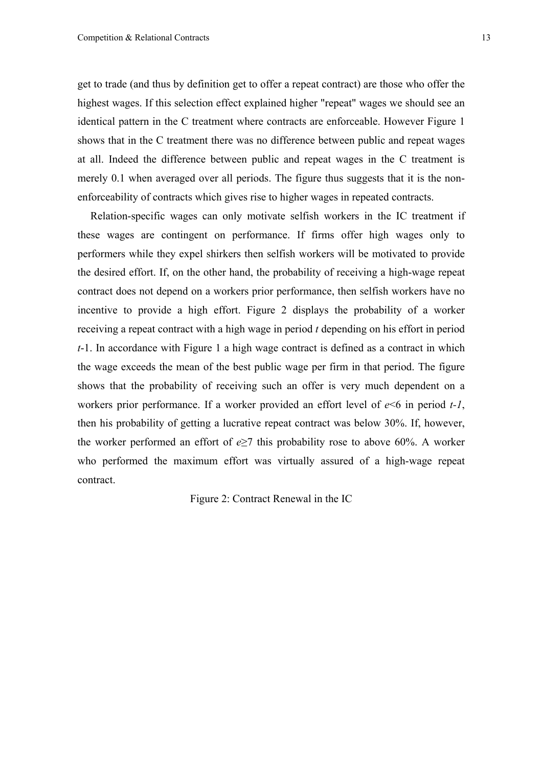get to trade (and thus by definition get to offer a repeat contract) are those who offer the highest wages. If this selection effect explained higher "repeat" wages we should see an identical pattern in the C treatment where contracts are enforceable. However Figure 1 shows that in the C treatment there was no difference between public and repeat wages at all. Indeed the difference between public and repeat wages in the C treatment is merely 0.1 when averaged over all periods. The figure thus suggests that it is the nonenforceability of contracts which gives rise to higher wages in repeated contracts.

Relation-specific wages can only motivate selfish workers in the IC treatment if these wages are contingent on performance. If firms offer high wages only to performers while they expel shirkers then selfish workers will be motivated to provide the desired effort. If, on the other hand, the probability of receiving a high-wage repeat contract does not depend on a workers prior performance, then selfish workers have no incentive to provide a high effort. Figure 2 displays the probability of a worker receiving a repeat contract with a high wage in period *t* depending on his effort in period *t*-1. In accordance with Figure 1 a high wage contract is defined as a contract in which the wage exceeds the mean of the best public wage per firm in that period. The figure shows that the probability of receiving such an offer is very much dependent on a workers prior performance. If a worker provided an effort level of *e*<6 in period *t-1*, then his probability of getting a lucrative repeat contract was below 30%. If, however, the worker performed an effort of  $e \ge 7$  this probability rose to above 60%. A worker who performed the maximum effort was virtually assured of a high-wage repeat contract.

Figure 2: Contract Renewal in the IC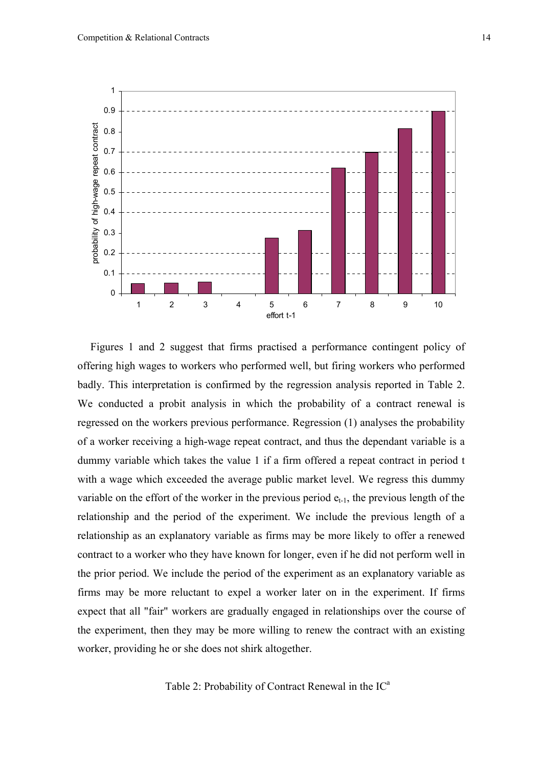

Figures 1 and 2 suggest that firms practised a performance contingent policy of offering high wages to workers who performed well, but firing workers who performed badly. This interpretation is confirmed by the regression analysis reported in Table 2. We conducted a probit analysis in which the probability of a contract renewal is regressed on the workers previous performance. Regression (1) analyses the probability of a worker receiving a high-wage repeat contract, and thus the dependant variable is a dummy variable which takes the value 1 if a firm offered a repeat contract in period t with a wage which exceeded the average public market level. We regress this dummy variable on the effort of the worker in the previous period  $e_{t-1}$ , the previous length of the relationship and the period of the experiment. We include the previous length of a relationship as an explanatory variable as firms may be more likely to offer a renewed contract to a worker who they have known for longer, even if he did not perform well in the prior period. We include the period of the experiment as an explanatory variable as firms may be more reluctant to expel a worker later on in the experiment. If firms expect that all "fair" workers are gradually engaged in relationships over the course of the experiment, then they may be more willing to renew the contract with an existing worker, providing he or she does not shirk altogether.

Table 2: Probability of Contract Renewal in the  $IC<sup>a</sup>$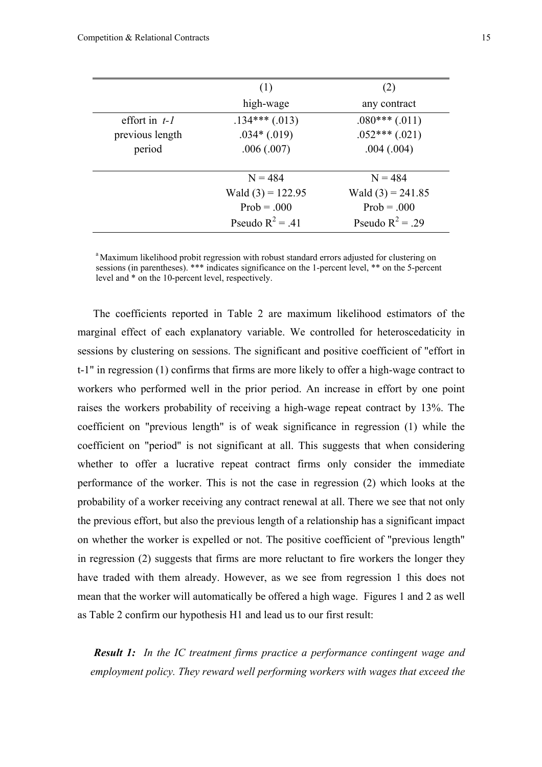|                 | (1)                 | (2)                 |
|-----------------|---------------------|---------------------|
|                 | high-wage           | any contract        |
| effort in $t-1$ | $.134***(.013)$     | $.080***(.011)$     |
| previous length | $.034*(.019)$       | $.052***(.021)$     |
| period          | .006(.007)          | .004(.004)          |
|                 | $N = 484$           | $N = 484$           |
|                 | Wald $(3) = 122.95$ | Wald $(3) = 241.85$ |
|                 | $Prob = .000$       | $Prob = .000$       |
|                 | Pseudo $R^2 = .41$  | Pseudo $R^2$ = .29  |

<sup>a</sup> Maximum likelihood probit regression with robust standard errors adjusted for clustering on sessions (in parentheses). \*\*\* indicates significance on the 1-percent level, \*\* on the 5-percent level and \* on the 10-percent level, respectively.

 The coefficients reported in Table 2 are maximum likelihood estimators of the marginal effect of each explanatory variable. We controlled for heteroscedaticity in sessions by clustering on sessions. The significant and positive coefficient of "effort in t-1" in regression (1) confirms that firms are more likely to offer a high-wage contract to workers who performed well in the prior period. An increase in effort by one point raises the workers probability of receiving a high-wage repeat contract by 13%. The coefficient on "previous length" is of weak significance in regression (1) while the coefficient on "period" is not significant at all. This suggests that when considering whether to offer a lucrative repeat contract firms only consider the immediate performance of the worker. This is not the case in regression (2) which looks at the probability of a worker receiving any contract renewal at all. There we see that not only the previous effort, but also the previous length of a relationship has a significant impact on whether the worker is expelled or not. The positive coefficient of "previous length" in regression (2) suggests that firms are more reluctant to fire workers the longer they have traded with them already. However, as we see from regression 1 this does not mean that the worker will automatically be offered a high wage. Figures 1 and 2 as well as Table 2 confirm our hypothesis H1 and lead us to our first result:

*Result 1: In the IC treatment firms practice a performance contingent wage and employment policy. They reward well performing workers with wages that exceed the*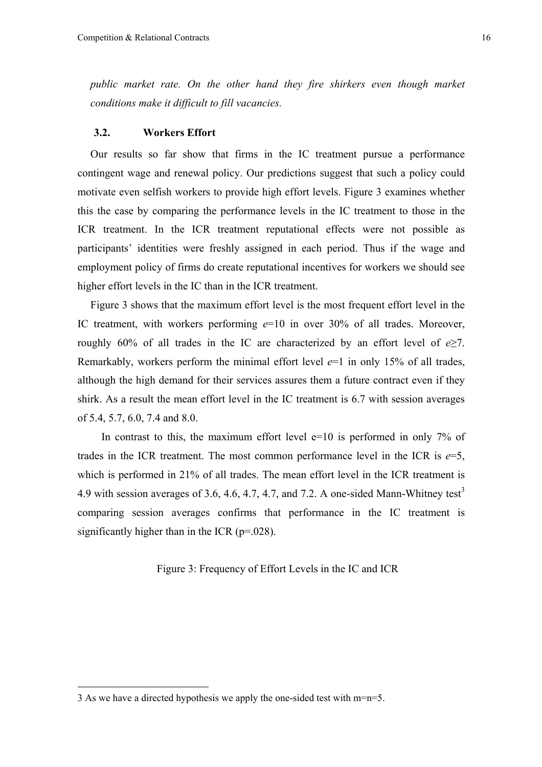*public market rate. On the other hand they fire shirkers even though market conditions make it difficult to fill vacancies.*

#### **3.2. Workers Effort**

Our results so far show that firms in the IC treatment pursue a performance contingent wage and renewal policy. Our predictions suggest that such a policy could motivate even selfish workers to provide high effort levels. Figure 3 examines whether this the case by comparing the performance levels in the IC treatment to those in the ICR treatment. In the ICR treatment reputational effects were not possible as participants' identities were freshly assigned in each period. Thus if the wage and employment policy of firms do create reputational incentives for workers we should see higher effort levels in the IC than in the ICR treatment.

Figure 3 shows that the maximum effort level is the most frequent effort level in the IC treatment, with workers performing *e*=10 in over 30% of all trades. Moreover, roughly 60% of all trades in the IC are characterized by an effort level of *e*≥7. Remarkably, workers perform the minimal effort level  $e=1$  in only 15% of all trades, although the high demand for their services assures them a future contract even if they shirk. As a result the mean effort level in the IC treatment is 6.7 with session averages of 5.4, 5.7, 6.0, 7.4 and 8.0.

In contrast to this, the maximum effort level  $e=10$  is performed in only 7% of trades in the ICR treatment. The most common performance level in the ICR is  $e=5$ , which is performed in 21% of all trades. The mean effort level in the ICR treatment is 4.9 with session averages of 3.6, 4.6, 4.7, 4.7, and 7.2. A one-sided Mann-Whitney test<sup>3</sup> comparing session averages confirms that performance in the IC treatment is significantly higher than in the ICR  $(p=0.028)$ .

Figure 3: Frequency of Effort Levels in the IC and ICR

 $\overline{a}$ 

<sup>3</sup> As we have a directed hypothesis we apply the one-sided test with m=n=5.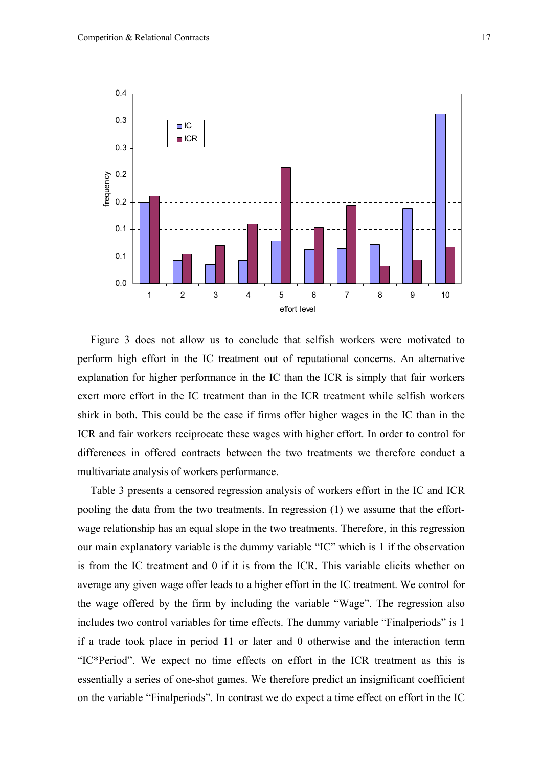

Figure 3 does not allow us to conclude that selfish workers were motivated to perform high effort in the IC treatment out of reputational concerns. An alternative explanation for higher performance in the IC than the ICR is simply that fair workers exert more effort in the IC treatment than in the ICR treatment while selfish workers shirk in both. This could be the case if firms offer higher wages in the IC than in the ICR and fair workers reciprocate these wages with higher effort. In order to control for differences in offered contracts between the two treatments we therefore conduct a multivariate analysis of workers performance.

Table 3 presents a censored regression analysis of workers effort in the IC and ICR pooling the data from the two treatments. In regression (1) we assume that the effortwage relationship has an equal slope in the two treatments. Therefore, in this regression our main explanatory variable is the dummy variable "IC" which is 1 if the observation is from the IC treatment and 0 if it is from the ICR. This variable elicits whether on average any given wage offer leads to a higher effort in the IC treatment. We control for the wage offered by the firm by including the variable "Wage". The regression also includes two control variables for time effects. The dummy variable "Finalperiods" is 1 if a trade took place in period 11 or later and 0 otherwise and the interaction term "IC\*Period". We expect no time effects on effort in the ICR treatment as this is essentially a series of one-shot games. We therefore predict an insignificant coefficient on the variable "Finalperiods". In contrast we do expect a time effect on effort in the IC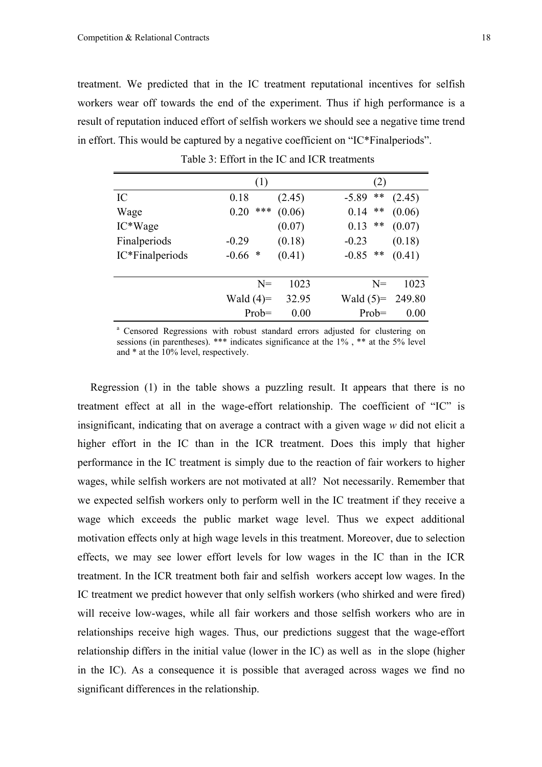treatment. We predicted that in the IC treatment reputational incentives for selfish workers wear off towards the end of the experiment. Thus if high performance is a result of reputation induced effort of selfish workers we should see a negative time trend in effort. This would be captured by a negative coefficient on "IC\*Finalperiods".

|                 | (1)          |        | (2)                        |
|-----------------|--------------|--------|----------------------------|
| IC              | 0.18         | (2.45) | **<br>(2.45)<br>$-5.89$    |
| Wage            | ***<br>0.20  | (0.06) | $***$<br>(0.06)<br>0.14    |
| IC*Wage         |              | (0.07) | $***$<br>(0.07)<br>0.13    |
| Finalperiods    | $-0.29$      | (0.18) | (0.18)<br>$-0.23$          |
| IC*Finalperiods | $-0.66$<br>* | (0.41) | $***$<br>(0.41)<br>$-0.85$ |
|                 |              |        |                            |
|                 | $N =$        | 1023   | 1023<br>$N=$               |
|                 | Wald $(4)=$  | 32.95  | 249.80<br>Wald $(5)=$      |
|                 | $Prob =$     | 0.00   | $Prob =$<br>0.00           |

Table 3: Effort in the IC and ICR treatments

<sup>a</sup> Censored Regressions with robust standard errors adjusted for clustering on sessions (in parentheses). \*\*\* indicates significance at the 1% , \*\* at the 5% level and \* at the 10% level, respectively.

Regression (1) in the table shows a puzzling result. It appears that there is no treatment effect at all in the wage-effort relationship. The coefficient of "IC" is insignificant, indicating that on average a contract with a given wage *w* did not elicit a higher effort in the IC than in the ICR treatment. Does this imply that higher performance in the IC treatment is simply due to the reaction of fair workers to higher wages, while selfish workers are not motivated at all? Not necessarily. Remember that we expected selfish workers only to perform well in the IC treatment if they receive a wage which exceeds the public market wage level. Thus we expect additional motivation effects only at high wage levels in this treatment. Moreover, due to selection effects, we may see lower effort levels for low wages in the IC than in the ICR treatment. In the ICR treatment both fair and selfish workers accept low wages. In the IC treatment we predict however that only selfish workers (who shirked and were fired) will receive low-wages, while all fair workers and those selfish workers who are in relationships receive high wages. Thus, our predictions suggest that the wage-effort relationship differs in the initial value (lower in the IC) as well as in the slope (higher in the IC). As a consequence it is possible that averaged across wages we find no significant differences in the relationship.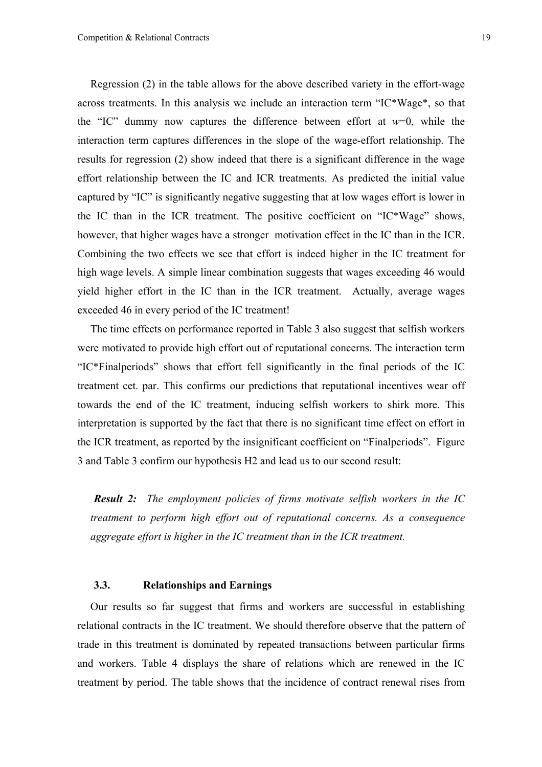Regression (2) in the table allows for the above described variety in the effort-wage across treatments. In this analysis we include an interaction term "IC\*Wage\*, so that the "IC" dummy now captures the difference between effort at  $w=0$ , while the interaction term captures differences in the slope of the wage-effort relationship. The results for regression (2) show indeed that there is a significant difference in the wage effort relationship between the IC and ICR treatments. As predicted the initial value captured by "IC" is significantly negative suggesting that at low wages effort is lower in the IC than in the ICR treatment. The positive coefficient on "IC\*Wage" shows, however, that higher wages have a stronger motivation effect in the IC than in the ICR. Combining the two effects we see that effort is indeed higher in the IC treatment for high wage levels. A simple linear combination suggests that wages exceeding 46 would yield higher effort in the IC than in the ICR treatment. Actually, average wages exceeded 46 in every period of the IC treatment!

The time effects on performance reported in Table 3 also suggest that selfish workers were motivated to provide high effort out of reputational concerns. The interaction term "IC\*Finalperiods" shows that effort fell significantly in the final periods of the IC treatment cet. par. This confirms our predictions that reputational incentives wear off towards the end of the IC treatment, inducing selfish workers to shirk more. This interpretation is supported by the fact that there is no significant time effect on effort in the ICR treatment, as reported by the insignificant coefficient on "Finalperiods". Figure 3 and Table 3 confirm our hypothesis H2 and lead us to our second result:

*Result 2: The employment policies of firms motivate selfish workers in the IC treatment to perform high effort out of reputational concerns. As a consequence aggregate effort is higher in the IC treatment than in the ICR treatment.* 

#### **3.3. Relationships and Earnings**

Our results so far suggest that firms and workers are successful in establishing relational contracts in the IC treatment. We should therefore observe that the pattern of trade in this treatment is dominated by repeated transactions between particular firms and workers. Table 4 displays the share of relations which are renewed in the IC treatment by period. The table shows that the incidence of contract renewal rises from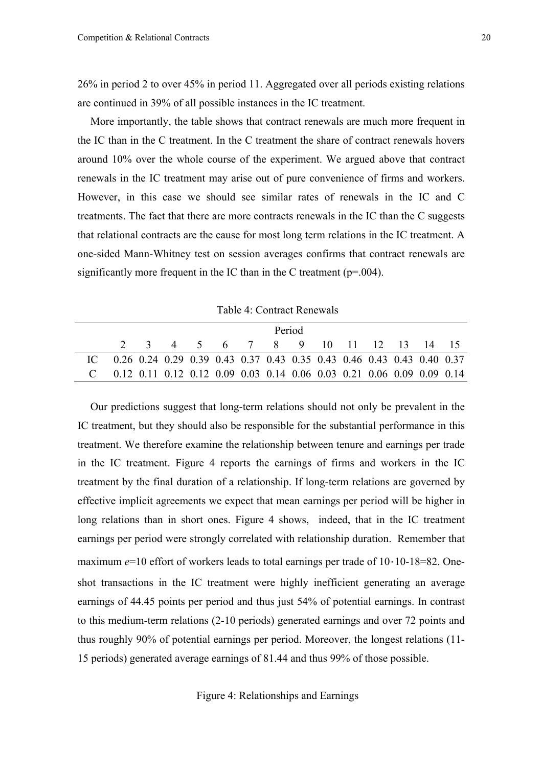26% in period 2 to over 45% in period 11. Aggregated over all periods existing relations are continued in 39% of all possible instances in the IC treatment.

More importantly, the table shows that contract renewals are much more frequent in the IC than in the C treatment. In the C treatment the share of contract renewals hovers around 10% over the whole course of the experiment. We argued above that contract renewals in the IC treatment may arise out of pure convenience of firms and workers. However, in this case we should see similar rates of renewals in the IC and C treatments. The fact that there are more contracts renewals in the IC than the C suggests that relational contracts are the cause for most long term relations in the IC treatment. A one-sided Mann-Whitney test on session averages confirms that contract renewals are significantly more frequent in the IC than in the C treatment ( $p=0.004$ ).

Table 4: Contract Renewals

|  | Period                                                                  |  |  |  |  |  |  |  |  |                                   |  |  |  |
|--|-------------------------------------------------------------------------|--|--|--|--|--|--|--|--|-----------------------------------|--|--|--|
|  |                                                                         |  |  |  |  |  |  |  |  | 2 3 4 5 6 7 8 9 10 11 12 13 14 15 |  |  |  |
|  | 0.26 0.24 0.29 0.39 0.43 0.37 0.43 0.35 0.43 0.46 0.43 0.43 0.40 0.37   |  |  |  |  |  |  |  |  |                                   |  |  |  |
|  | $0.12$ 0.11 0.12 0.12 0.09 0.03 0.14 0.06 0.03 0.21 0.06 0.09 0.09 0.14 |  |  |  |  |  |  |  |  |                                   |  |  |  |

Our predictions suggest that long-term relations should not only be prevalent in the IC treatment, but they should also be responsible for the substantial performance in this treatment. We therefore examine the relationship between tenure and earnings per trade in the IC treatment. Figure 4 reports the earnings of firms and workers in the IC treatment by the final duration of a relationship. If long-term relations are governed by effective implicit agreements we expect that mean earnings per period will be higher in long relations than in short ones. Figure 4 shows, indeed, that in the IC treatment earnings per period were strongly correlated with relationship duration. Remember that maximum  $e=10$  effort of workers leads to total earnings per trade of 10·10-18=82. Oneshot transactions in the IC treatment were highly inefficient generating an average earnings of 44.45 points per period and thus just 54% of potential earnings. In contrast to this medium-term relations (2-10 periods) generated earnings and over 72 points and thus roughly 90% of potential earnings per period. Moreover, the longest relations (11- 15 periods) generated average earnings of 81.44 and thus 99% of those possible.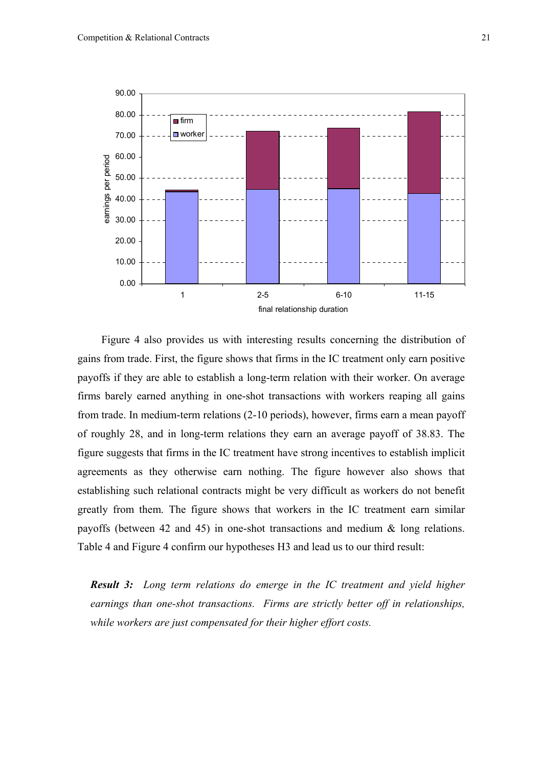

 Figure 4 also provides us with interesting results concerning the distribution of gains from trade. First, the figure shows that firms in the IC treatment only earn positive payoffs if they are able to establish a long-term relation with their worker. On average firms barely earned anything in one-shot transactions with workers reaping all gains from trade. In medium-term relations (2-10 periods), however, firms earn a mean payoff of roughly 28, and in long-term relations they earn an average payoff of 38.83. The figure suggests that firms in the IC treatment have strong incentives to establish implicit agreements as they otherwise earn nothing. The figure however also shows that establishing such relational contracts might be very difficult as workers do not benefit greatly from them. The figure shows that workers in the IC treatment earn similar payoffs (between 42 and 45) in one-shot transactions and medium & long relations. Table 4 and Figure 4 confirm our hypotheses H3 and lead us to our third result:

*Result 3: Long term relations do emerge in the IC treatment and yield higher earnings than one-shot transactions. Firms are strictly better off in relationships, while workers are just compensated for their higher effort costs.*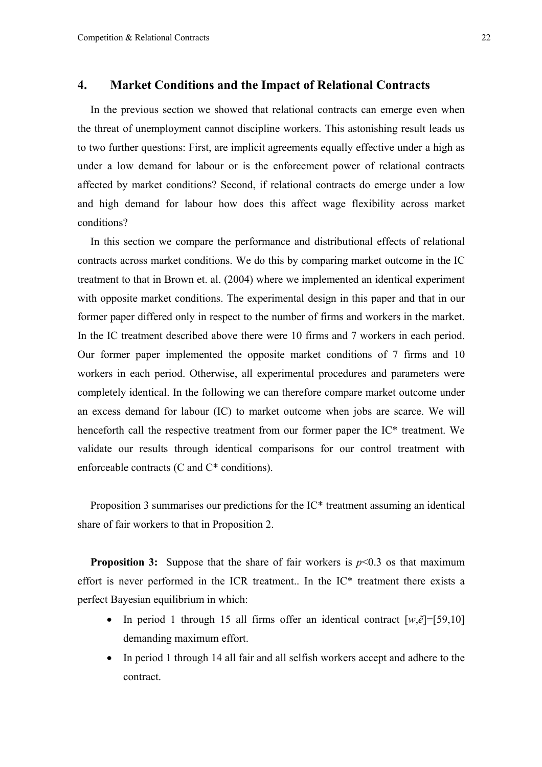## **4. Market Conditions and the Impact of Relational Contracts**

In the previous section we showed that relational contracts can emerge even when the threat of unemployment cannot discipline workers. This astonishing result leads us to two further questions: First, are implicit agreements equally effective under a high as under a low demand for labour or is the enforcement power of relational contracts affected by market conditions? Second, if relational contracts do emerge under a low and high demand for labour how does this affect wage flexibility across market conditions?

In this section we compare the performance and distributional effects of relational contracts across market conditions. We do this by comparing market outcome in the IC treatment to that in Brown et. al. (2004) where we implemented an identical experiment with opposite market conditions. The experimental design in this paper and that in our former paper differed only in respect to the number of firms and workers in the market. In the IC treatment described above there were 10 firms and 7 workers in each period. Our former paper implemented the opposite market conditions of 7 firms and 10 workers in each period. Otherwise, all experimental procedures and parameters were completely identical. In the following we can therefore compare market outcome under an excess demand for labour (IC) to market outcome when jobs are scarce. We will henceforth call the respective treatment from our former paper the IC\* treatment. We validate our results through identical comparisons for our control treatment with enforceable contracts (C and C\* conditions).

Proposition 3 summarises our predictions for the IC\* treatment assuming an identical share of fair workers to that in Proposition 2.

**Proposition 3:** Suppose that the share of fair workers is  $p<0.3$  os that maximum effort is never performed in the ICR treatment.. In the IC\* treatment there exists a perfect Bayesian equilibrium in which:

- In period 1 through 15 all firms offer an identical contract  $[w,\tilde{e}]=[59,10]$ demanding maximum effort.
- In period 1 through 14 all fair and all selfish workers accept and adhere to the contract.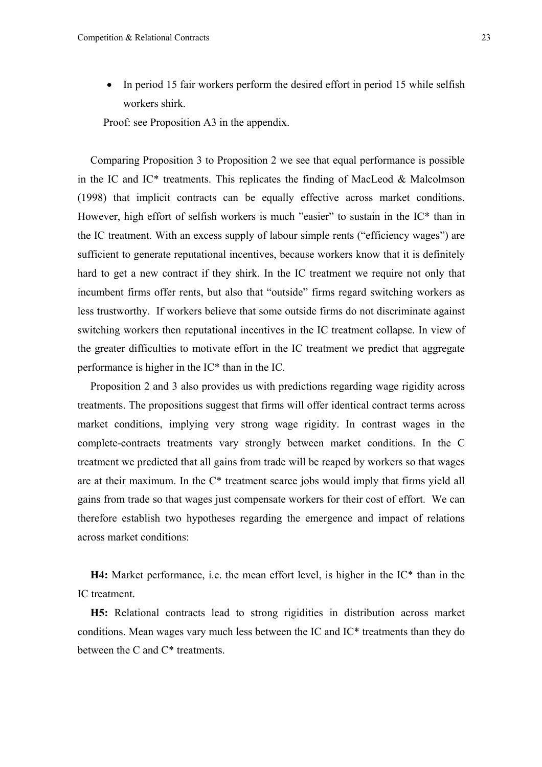• In period 15 fair workers perform the desired effort in period 15 while selfish workers shirk.

Proof: see Proposition A3 in the appendix.

Comparing Proposition 3 to Proposition 2 we see that equal performance is possible in the IC and IC\* treatments. This replicates the finding of MacLeod & Malcolmson (1998) that implicit contracts can be equally effective across market conditions. However, high effort of selfish workers is much "easier" to sustain in the IC\* than in the IC treatment. With an excess supply of labour simple rents ("efficiency wages") are sufficient to generate reputational incentives, because workers know that it is definitely hard to get a new contract if they shirk. In the IC treatment we require not only that incumbent firms offer rents, but also that "outside" firms regard switching workers as less trustworthy. If workers believe that some outside firms do not discriminate against switching workers then reputational incentives in the IC treatment collapse. In view of the greater difficulties to motivate effort in the IC treatment we predict that aggregate performance is higher in the  $IC^*$  than in the  $IC$ .

Proposition 2 and 3 also provides us with predictions regarding wage rigidity across treatments. The propositions suggest that firms will offer identical contract terms across market conditions, implying very strong wage rigidity. In contrast wages in the complete-contracts treatments vary strongly between market conditions. In the C treatment we predicted that all gains from trade will be reaped by workers so that wages are at their maximum. In the C\* treatment scarce jobs would imply that firms yield all gains from trade so that wages just compensate workers for their cost of effort. We can therefore establish two hypotheses regarding the emergence and impact of relations across market conditions:

**H4:** Market performance, i.e. the mean effort level, is higher in the IC\* than in the IC treatment.

**H5:** Relational contracts lead to strong rigidities in distribution across market conditions. Mean wages vary much less between the IC and IC\* treatments than they do between the C and C\* treatments.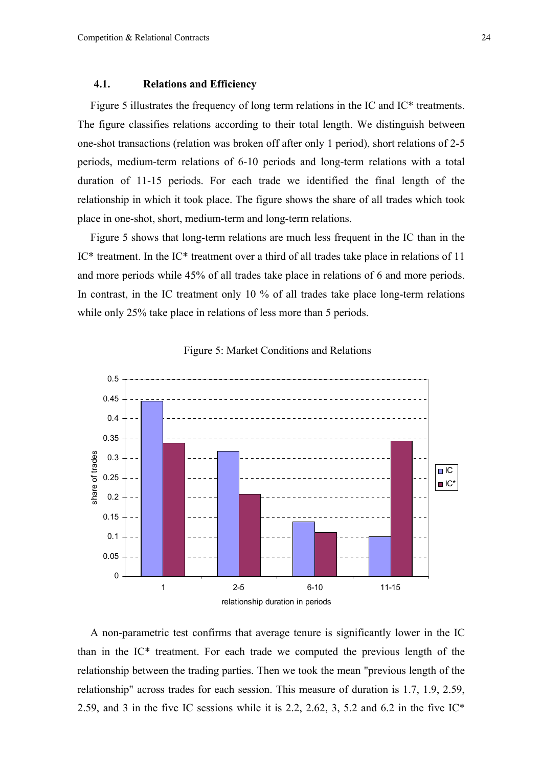#### **4.1. Relations and Efficiency**

Figure 5 illustrates the frequency of long term relations in the IC and IC\* treatments. The figure classifies relations according to their total length. We distinguish between one-shot transactions (relation was broken off after only 1 period), short relations of 2-5 periods, medium-term relations of 6-10 periods and long-term relations with a total duration of 11-15 periods. For each trade we identified the final length of the relationship in which it took place. The figure shows the share of all trades which took place in one-shot, short, medium-term and long-term relations.

Figure 5 shows that long-term relations are much less frequent in the IC than in the IC\* treatment. In the IC\* treatment over a third of all trades take place in relations of 11 and more periods while 45% of all trades take place in relations of 6 and more periods. In contrast, in the IC treatment only 10 % of all trades take place long-term relations while only 25% take place in relations of less more than 5 periods.





A non-parametric test confirms that average tenure is significantly lower in the IC than in the IC\* treatment. For each trade we computed the previous length of the relationship between the trading parties. Then we took the mean "previous length of the relationship" across trades for each session. This measure of duration is 1.7, 1.9, 2.59, 2.59, and 3 in the five IC sessions while it is 2.2, 2.62, 3, 5.2 and 6.2 in the five  $IC^*$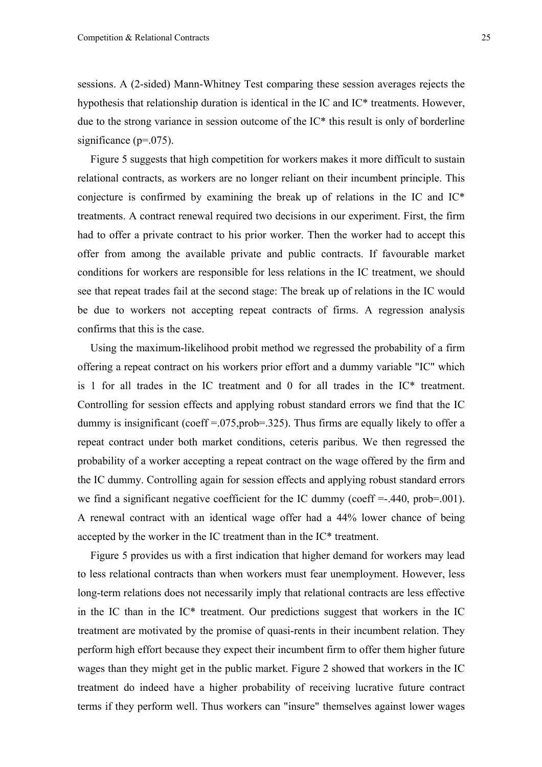sessions. A (2-sided) Mann-Whitney Test comparing these session averages rejects the hypothesis that relationship duration is identical in the IC and IC\* treatments. However, due to the strong variance in session outcome of the IC\* this result is only of borderline significance (p=.075).

Figure 5 suggests that high competition for workers makes it more difficult to sustain relational contracts, as workers are no longer reliant on their incumbent principle. This conjecture is confirmed by examining the break up of relations in the IC and IC\* treatments. A contract renewal required two decisions in our experiment. First, the firm had to offer a private contract to his prior worker. Then the worker had to accept this offer from among the available private and public contracts. If favourable market conditions for workers are responsible for less relations in the IC treatment, we should see that repeat trades fail at the second stage: The break up of relations in the IC would be due to workers not accepting repeat contracts of firms. A regression analysis confirms that this is the case.

Using the maximum-likelihood probit method we regressed the probability of a firm offering a repeat contract on his workers prior effort and a dummy variable "IC" which is 1 for all trades in the IC treatment and 0 for all trades in the IC\* treatment. Controlling for session effects and applying robust standard errors we find that the IC dummy is insignificant (coeff =.075,prob=.325). Thus firms are equally likely to offer a repeat contract under both market conditions, ceteris paribus. We then regressed the probability of a worker accepting a repeat contract on the wage offered by the firm and the IC dummy. Controlling again for session effects and applying robust standard errors we find a significant negative coefficient for the IC dummy (coeff  $=$ -.440, prob $=$ .001). A renewal contract with an identical wage offer had a 44% lower chance of being accepted by the worker in the IC treatment than in the IC\* treatment.

Figure 5 provides us with a first indication that higher demand for workers may lead to less relational contracts than when workers must fear unemployment. However, less long-term relations does not necessarily imply that relational contracts are less effective in the IC than in the IC\* treatment. Our predictions suggest that workers in the IC treatment are motivated by the promise of quasi-rents in their incumbent relation. They perform high effort because they expect their incumbent firm to offer them higher future wages than they might get in the public market. Figure 2 showed that workers in the IC treatment do indeed have a higher probability of receiving lucrative future contract terms if they perform well. Thus workers can "insure" themselves against lower wages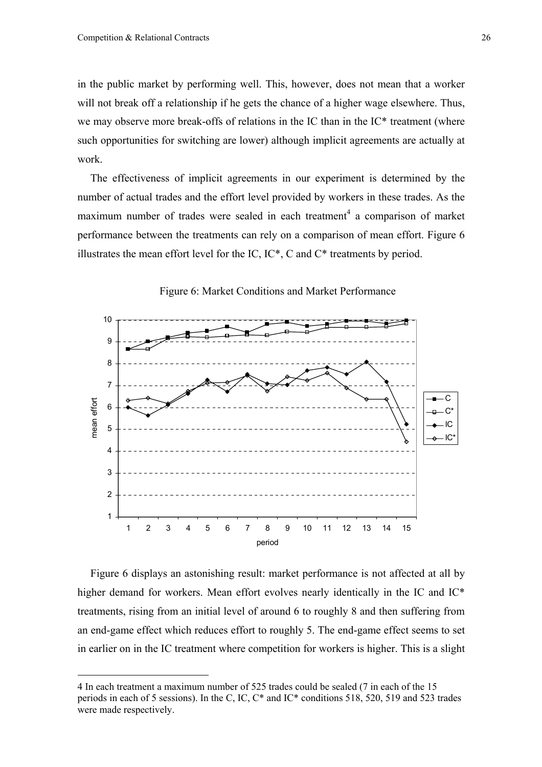$\overline{a}$ 

in the public market by performing well. This, however, does not mean that a worker will not break off a relationship if he gets the chance of a higher wage elsewhere. Thus, we may observe more break-offs of relations in the IC than in the IC\* treatment (where such opportunities for switching are lower) although implicit agreements are actually at work.

The effectiveness of implicit agreements in our experiment is determined by the number of actual trades and the effort level provided by workers in these trades. As the maximum number of trades were sealed in each treatment<sup>4</sup> a comparison of market performance between the treatments can rely on a comparison of mean effort. Figure 6 illustrates the mean effort level for the IC, IC\*, C and C\* treatments by period.



Figure 6: Market Conditions and Market Performance

Figure 6 displays an astonishing result: market performance is not affected at all by higher demand for workers. Mean effort evolves nearly identically in the IC and IC\* treatments, rising from an initial level of around 6 to roughly 8 and then suffering from an end-game effect which reduces effort to roughly 5. The end-game effect seems to set in earlier on in the IC treatment where competition for workers is higher. This is a slight

<sup>4</sup> In each treatment a maximum number of 525 trades could be sealed (7 in each of the 15 periods in each of 5 sessions). In the C, IC, C\* and IC\* conditions 518, 520, 519 and 523 trades were made respectively.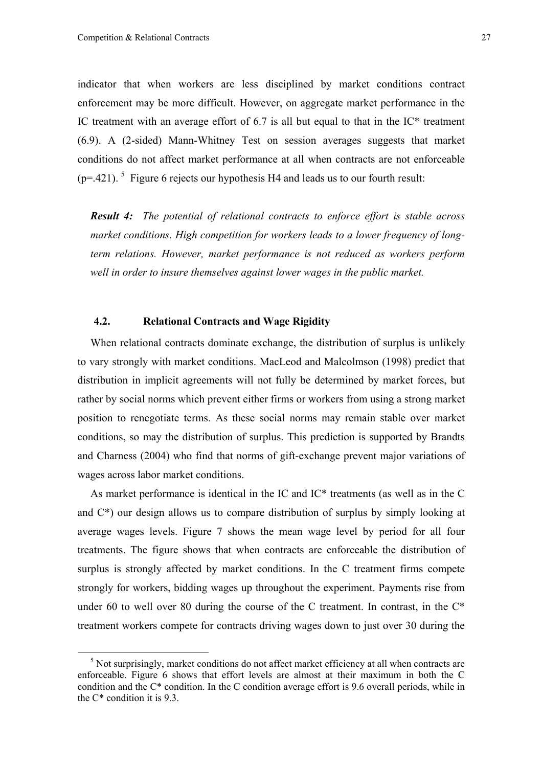indicator that when workers are less disciplined by market conditions contract enforcement may be more difficult. However, on aggregate market performance in the IC treatment with an average effort of 6.7 is all but equal to that in the IC\* treatment (6.9). A (2-sided) Mann-Whitney Test on session averages suggests that market conditions do not affect market performance at all when contracts are not enforceable  $(p=421)$ . <sup>5</sup> Figure 6 rejects our hypothesis H4 and leads us to our fourth result:

*Result 4: The potential of relational contracts to enforce effort is stable across market conditions. High competition for workers leads to a lower frequency of longterm relations. However, market performance is not reduced as workers perform well in order to insure themselves against lower wages in the public market.*

#### **4.2. Relational Contracts and Wage Rigidity**

When relational contracts dominate exchange, the distribution of surplus is unlikely to vary strongly with market conditions. MacLeod and Malcolmson (1998) predict that distribution in implicit agreements will not fully be determined by market forces, but rather by social norms which prevent either firms or workers from using a strong market position to renegotiate terms. As these social norms may remain stable over market conditions, so may the distribution of surplus. This prediction is supported by Brandts and Charness (2004) who find that norms of gift-exchange prevent major variations of wages across labor market conditions.

As market performance is identical in the IC and IC\* treatments (as well as in the C and  $C^*$ ) our design allows us to compare distribution of surplus by simply looking at average wages levels. Figure 7 shows the mean wage level by period for all four treatments. The figure shows that when contracts are enforceable the distribution of surplus is strongly affected by market conditions. In the C treatment firms compete strongly for workers, bidding wages up throughout the experiment. Payments rise from under 60 to well over 80 during the course of the C treatment. In contrast, in the  $C^*$ treatment workers compete for contracts driving wages down to just over 30 during the

<sup>&</sup>lt;sup>5</sup> Not surprisingly, market conditions do not affect market efficiency at all when contracts are enforceable. Figure 6 shows that effort levels are almost at their maximum in both the C condition and the C\* condition. In the C condition average effort is 9.6 overall periods, while in the  $C^*$  condition it is 9.3.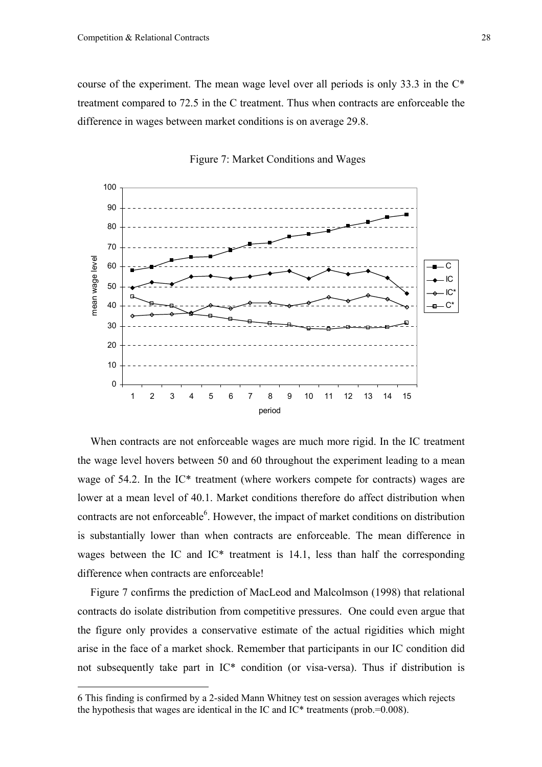course of the experiment. The mean wage level over all periods is only 33.3 in the C\* treatment compared to 72.5 in the C treatment. Thus when contracts are enforceable the difference in wages between market conditions is on average 29.8.





When contracts are not enforceable wages are much more rigid. In the IC treatment the wage level hovers between 50 and 60 throughout the experiment leading to a mean wage of 54.2. In the IC<sup>\*</sup> treatment (where workers compete for contracts) wages are lower at a mean level of 40.1. Market conditions therefore do affect distribution when contracts are not enforceable $6$ . However, the impact of market conditions on distribution is substantially lower than when contracts are enforceable. The mean difference in wages between the IC and IC\* treatment is 14.1, less than half the corresponding difference when contracts are enforceable!

Figure 7 confirms the prediction of MacLeod and Malcolmson (1998) that relational contracts do isolate distribution from competitive pressures. One could even argue that the figure only provides a conservative estimate of the actual rigidities which might arise in the face of a market shock. Remember that participants in our IC condition did not subsequently take part in IC\* condition (or visa-versa). Thus if distribution is

 $\overline{a}$ 

<sup>6</sup> This finding is confirmed by a 2-sided Mann Whitney test on session averages which rejects the hypothesis that wages are identical in the IC and IC\* treatments (prob.=0.008).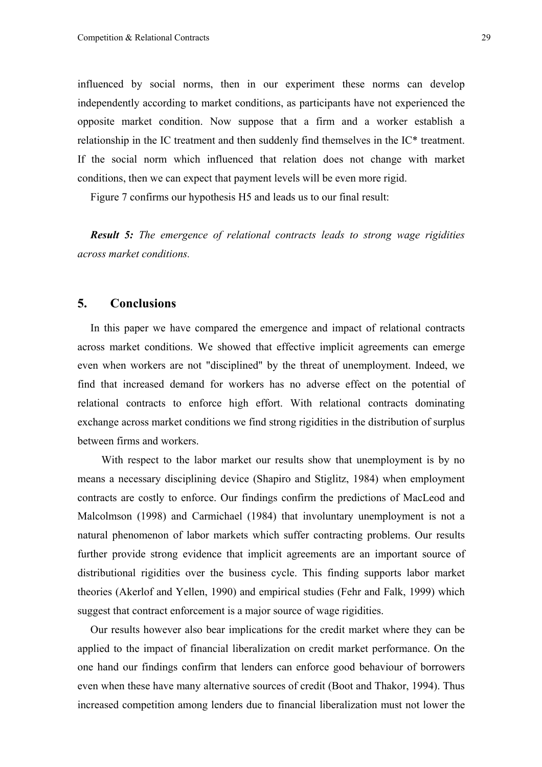influenced by social norms, then in our experiment these norms can develop independently according to market conditions, as participants have not experienced the opposite market condition. Now suppose that a firm and a worker establish a relationship in the IC treatment and then suddenly find themselves in the IC\* treatment. If the social norm which influenced that relation does not change with market conditions, then we can expect that payment levels will be even more rigid.

Figure 7 confirms our hypothesis H5 and leads us to our final result:

*Result 5: The emergence of relational contracts leads to strong wage rigidities across market conditions.* 

## **5. Conclusions**

In this paper we have compared the emergence and impact of relational contracts across market conditions. We showed that effective implicit agreements can emerge even when workers are not "disciplined" by the threat of unemployment. Indeed, we find that increased demand for workers has no adverse effect on the potential of relational contracts to enforce high effort. With relational contracts dominating exchange across market conditions we find strong rigidities in the distribution of surplus between firms and workers.

 With respect to the labor market our results show that unemployment is by no means a necessary disciplining device (Shapiro and Stiglitz, 1984) when employment contracts are costly to enforce. Our findings confirm the predictions of MacLeod and Malcolmson (1998) and Carmichael (1984) that involuntary unemployment is not a natural phenomenon of labor markets which suffer contracting problems. Our results further provide strong evidence that implicit agreements are an important source of distributional rigidities over the business cycle. This finding supports labor market theories (Akerlof and Yellen, 1990) and empirical studies (Fehr and Falk, 1999) which suggest that contract enforcement is a major source of wage rigidities.

Our results however also bear implications for the credit market where they can be applied to the impact of financial liberalization on credit market performance. On the one hand our findings confirm that lenders can enforce good behaviour of borrowers even when these have many alternative sources of credit (Boot and Thakor, 1994). Thus increased competition among lenders due to financial liberalization must not lower the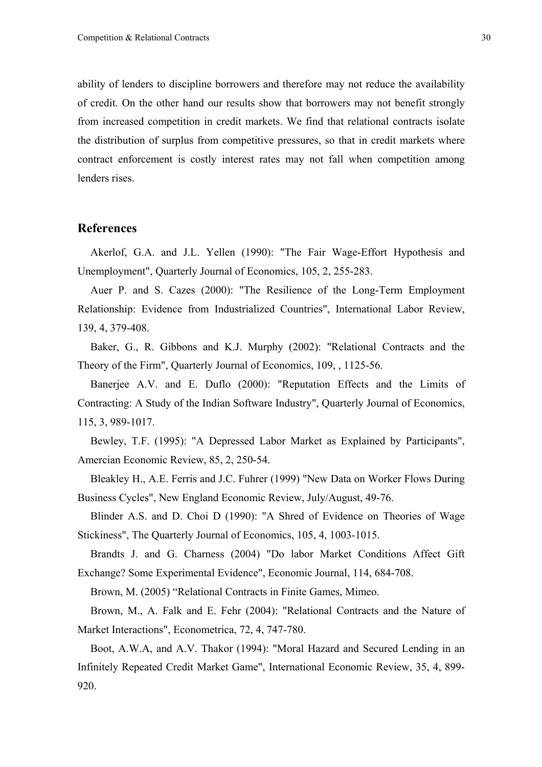ability of lenders to discipline borrowers and therefore may not reduce the availability of credit. On the other hand our results show that borrowers may not benefit strongly from increased competition in credit markets. We find that relational contracts isolate the distribution of surplus from competitive pressures, so that in credit markets where contract enforcement is costly interest rates may not fall when competition among lenders rises.

### **References**

Akerlof, G.A. and J.L. Yellen (1990): "The Fair Wage-Effort Hypothesis and Unemployment", Quarterly Journal of Economics, 105, 2, 255-283.

Auer P. and S. Cazes (2000): "The Resilience of the Long-Term Employment Relationship: Evidence from Industrialized Countries", International Labor Review, 139, 4, 379-408.

Baker, G., R. Gibbons and K.J. Murphy (2002): "Relational Contracts and the Theory of the Firm", Quarterly Journal of Economics, 109, , 1125-56.

Banerjee A.V. and E. Duflo (2000): "Reputation Effects and the Limits of Contracting: A Study of the Indian Software Industry", Quarterly Journal of Economics, 115, 3, 989-1017.

Bewley, T.F. (1995): "A Depressed Labor Market as Explained by Participants", Amercian Economic Review, 85, 2, 250-54.

Bleakley H., A.E. Ferris and J.C. Fuhrer (1999) "New Data on Worker Flows During Business Cycles", New England Economic Review, July/August, 49-76.

Blinder A.S. and D. Choi D (1990): "A Shred of Evidence on Theories of Wage Stickiness", The Quarterly Journal of Economics, 105, 4, 1003-1015.

Brandts J. and G. Charness (2004) "Do labor Market Conditions Affect Gift Exchange? Some Experimental Evidence", Economic Journal, 114, 684-708.

Brown, M. (2005) "Relational Contracts in Finite Games, Mimeo.

Brown, M., A. Falk and E. Fehr (2004): "Relational Contracts and the Nature of Market Interactions", Econometrica, 72, 4, 747-780.

Boot, A.W.A, and A.V. Thakor (1994): "Moral Hazard and Secured Lending in an Infinitely Repeated Credit Market Game", International Economic Review, 35, 4, 899- 920.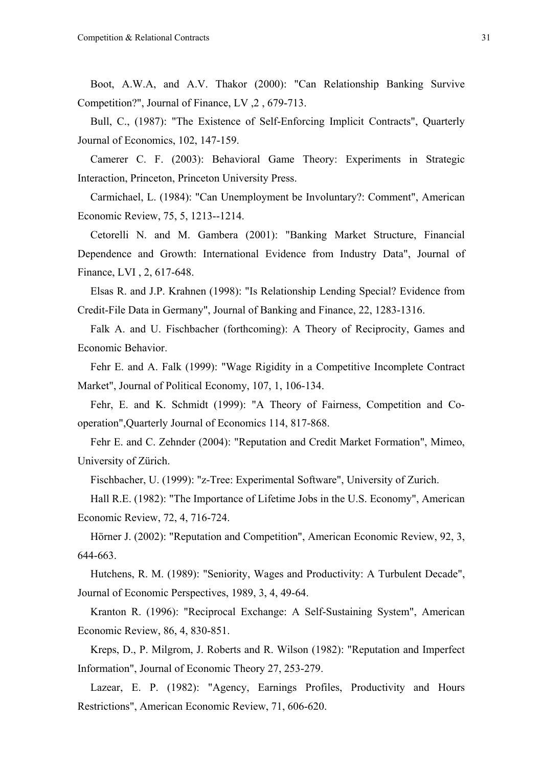Boot, A.W.A, and A.V. Thakor (2000): "Can Relationship Banking Survive Competition?", Journal of Finance, LV ,2 , 679-713.

Bull, C., (1987): "The Existence of Self-Enforcing Implicit Contracts", Quarterly Journal of Economics, 102, 147-159.

Camerer C. F. (2003): Behavioral Game Theory: Experiments in Strategic Interaction, Princeton, Princeton University Press.

Carmichael, L. (1984): "Can Unemployment be Involuntary?: Comment", American Economic Review, 75, 5, 1213--1214.

Cetorelli N. and M. Gambera (2001): "Banking Market Structure, Financial Dependence and Growth: International Evidence from Industry Data", Journal of Finance, LVI , 2, 617-648.

Elsas R. and J.P. Krahnen (1998): "Is Relationship Lending Special? Evidence from Credit-File Data in Germany", Journal of Banking and Finance, 22, 1283-1316.

Falk A. and U. Fischbacher (forthcoming): A Theory of Reciprocity, Games and Economic Behavior.

Fehr E. and A. Falk (1999): "Wage Rigidity in a Competitive Incomplete Contract Market", Journal of Political Economy, 107, 1, 106-134.

Fehr, E. and K. Schmidt (1999): "A Theory of Fairness, Competition and Cooperation",Quarterly Journal of Economics 114, 817-868.

Fehr E. and C. Zehnder (2004): "Reputation and Credit Market Formation", Mimeo, University of Zürich.

Fischbacher, U. (1999): "z-Tree: Experimental Software", University of Zurich.

Hall R.E. (1982): "The Importance of Lifetime Jobs in the U.S. Economy", American Economic Review, 72, 4, 716-724.

Hörner J. (2002): "Reputation and Competition", American Economic Review, 92, 3, 644-663.

Hutchens, R. M. (1989): "Seniority, Wages and Productivity: A Turbulent Decade", Journal of Economic Perspectives, 1989, 3, 4, 49-64.

Kranton R. (1996): "Reciprocal Exchange: A Self-Sustaining System", American Economic Review, 86, 4, 830-851.

Kreps, D., P. Milgrom, J. Roberts and R. Wilson (1982): "Reputation and Imperfect Information", Journal of Economic Theory 27, 253-279.

Lazear, E. P. (1982): "Agency, Earnings Profiles, Productivity and Hours Restrictions", American Economic Review, 71, 606-620.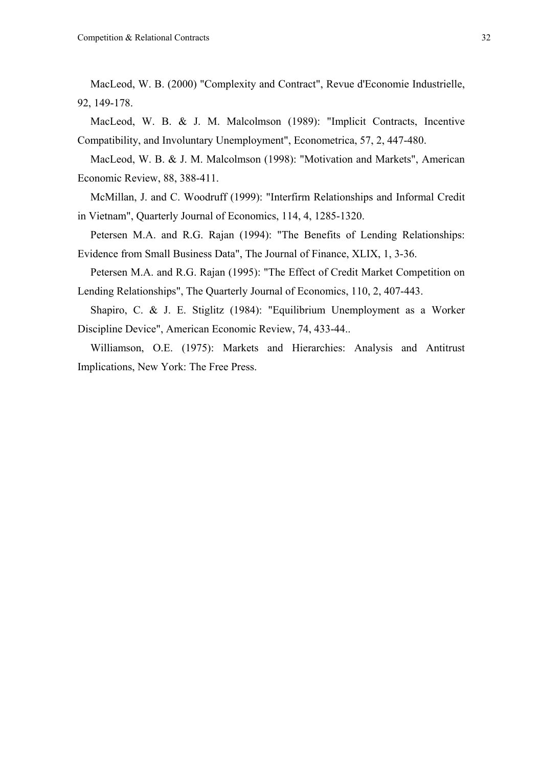MacLeod, W. B. (2000) "Complexity and Contract", Revue d'Economie Industrielle, 92, 149-178.

MacLeod, W. B. & J. M. Malcolmson (1989): "Implicit Contracts, Incentive Compatibility, and Involuntary Unemployment", Econometrica, 57, 2, 447-480.

MacLeod, W. B. & J. M. Malcolmson (1998): "Motivation and Markets", American Economic Review, 88, 388-411.

McMillan, J. and C. Woodruff (1999): "Interfirm Relationships and Informal Credit in Vietnam", Quarterly Journal of Economics, 114, 4, 1285-1320.

Petersen M.A. and R.G. Rajan (1994): "The Benefits of Lending Relationships: Evidence from Small Business Data", The Journal of Finance, XLIX, 1, 3-36.

Petersen M.A. and R.G. Rajan (1995): "The Effect of Credit Market Competition on Lending Relationships", The Quarterly Journal of Economics, 110, 2, 407-443.

Shapiro, C. & J. E. Stiglitz (1984): "Equilibrium Unemployment as a Worker Discipline Device", American Economic Review, 74, 433-44..

Williamson, O.E. (1975): Markets and Hierarchies: Analysis and Antitrust Implications, New York: The Free Press.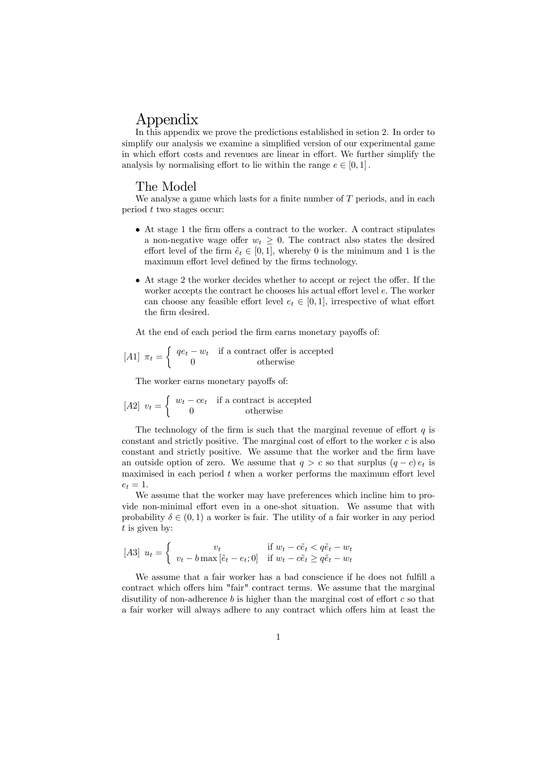## Appendix

In this appendix we prove the predictions established in setion 2. In order to simplify our analysis we examine a simplified version of our experimental game in which effort costs and revenues are linear in effort. We further simplify the analysis by normalising effort to lie within the range  $e \in [0, 1]$ .

#### The Model

We analyse a game which lasts for a finite number of  $T$  periods, and in each period t two stages occur:

- At stage 1 the firm offers a contract to the worker. A contract stipulates a non-negative wage offer  $w_t \geq 0$ . The contract also states the desired effort level of the firm  $\tilde{e}_t \in [0,1]$ , whereby 0 is the minimum and 1 is the maximum effort level defined by the firms technology.
- At stage 2 the worker decides whether to accept or reject the offer. If the worker accepts the contract he chooses his actual effort level e. The worker can choose any feasible effort level  $e_t \in [0,1]$ , irrespective of what effort the firm desired.

At the end of each period the firm earns monetary payoffs of:

$$
[A1] \ \pi_t = \begin{cases} \ q e_t - w_t & \text{if a contract offer is accepted} \\ 0 & \text{otherwise} \end{cases}
$$

The worker earns monetary payoffs of:

$$
[A2] \ v_t = \begin{cases} w_t - ce_t & \text{if a contract is accepted} \\ 0 & \text{otherwise} \end{cases}
$$

The technology of the firm is such that the marginal revenue of effort  $q$  is constant and strictly positive. The marginal cost of effort to the worker  $c$  is also constant and strictly positive. We assume that the worker and the firm have an outside option of zero. We assume that  $q>c$  so that surplus  $(q-c) e_t$  is maximised in each period  $t$  when a worker performs the maximum effort level  $e_t = 1.$ 

We assume that the worker may have preferences which incline him to provide non-minimal effort even in a one-shot situation. We assume that with probability  $\delta \in (0,1)$  a worker is fair. The utility of a fair worker in any period t is given by:

$$
[A3] \ u_t = \begin{cases} \v_t & \text{if } w_t - c\tilde{e}_t < q\tilde{e}_t - w_t \\ v_t - b\max[\tilde{e}_t - e_t; 0] & \text{if } w_t - c\tilde{e}_t \ge q\tilde{e}_t - w_t \end{cases}
$$

We assume that a fair worker has a bad conscience if he does not fulfill a contract which offers him "fair" contract terms. We assume that the marginal disutility of non-adherence  $b$  is higher than the marginal cost of effort  $c$  so that a fair worker will always adhere to any contract which offers him at least the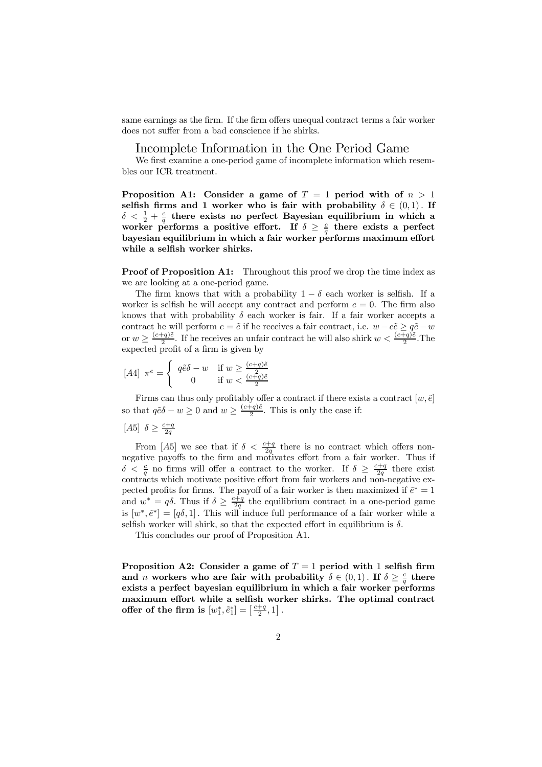same earnings as the firm. If the firm offers unequal contract terms a fair worker does not suffer from a bad conscience if he shirks.

#### Incomplete Information in the One Period Game

We first examine a one-period game of incomplete information which resembles our ICR treatment.

Proposition A1: Consider a game of  $T = 1$  period with of  $n > 1$ selfish firms and 1 worker who is fair with probability  $\delta \in (0,1)$ . If  $\delta < \frac{1}{2} + \frac{c}{q}$  there exists no perfect Bayesian equilibrium in which a worker performs a positive effort. If  $\delta \geq \frac{c}{q}$  there exists a perfect bayesian equilibrium in which a fair worker performs maximum effort while a selfish worker shirks.

**Proof of Proposition A1:** Throughout this proof we drop the time index as we are looking at a one-period game.

The firm knows that with a probability  $1 - \delta$  each worker is selfish. If a worker is selfish he will accept any contract and perform  $e = 0$ . The firm also knows that with probability  $\delta$  each worker is fair. If a fair worker accepts a contract he will perform  $e = \tilde{e}$  if he receives a fair contract, i.e.  $w - c\tilde{e} \geq q\tilde{e} - w$ or  $w \geq \frac{(c+q)\tilde{e}}{2}$ . If he receives an unfair contract he will also shirk  $w < \frac{(c+q)\tilde{e}}{2}$ . The expected profit of a firm is given by

$$
[A4] \ \pi^e = \begin{cases} \ q\tilde{e}\delta - w & \text{if } w \ge \frac{(c+q)\tilde{e}}{2} \\ 0 & \text{if } w < \frac{(c+q)\tilde{e}}{2} \end{cases}
$$

Firms can thus only profitably offer a contract if there exists a contract  $[w, \tilde{e}]$ so that  $q\tilde{e}\delta - w \geq 0$  and  $w \geq \frac{(c+q)\tilde{e}}{2}$ . This is only the case if:

$$
[A5] \ \delta \ge \tfrac{c+q}{2q}
$$

From [A5] we see that if  $\delta < \frac{c+q}{2q}$  there is no contract which offers nonnegative payoffs to the firm and motivates effort from a fair worker. Thus if  $\delta < \frac{c}{q}$  no firms will offer a contract to the worker. If  $\delta \geq \frac{c+q}{2q}$  there exist contracts which motivate positive effort from fair workers and non-negative expected profits for firms. The payoff of a fair worker is then maximized if  $\tilde{e}^* = 1$ and  $w^* = q\delta$ . Thus if  $\delta \geq \frac{c+q}{2q}$  the equilibrium contract in a one-period game is  $[w^*, \tilde{e}^*]=[q\delta, 1]$ . This will induce full performance of a fair worker while a selfish worker will shirk, so that the expected effort in equilibrium is  $\delta$ .

This concludes our proof of Proposition A1.

Proposition A2: Consider a game of  $T = 1$  period with 1 selfish firm and *n* workers who are fair with probability  $\delta \in (0,1)$ . If  $\delta \geq \frac{c}{q}$  there exists a perfect bayesian equilibrium in which a fair worker performs maximum effort while a selfish worker shirks. The optimal contract offer of the firm is  $[w_1^*, \tilde{e}_1^*] = \left[\frac{c+q}{2}, 1\right]$ .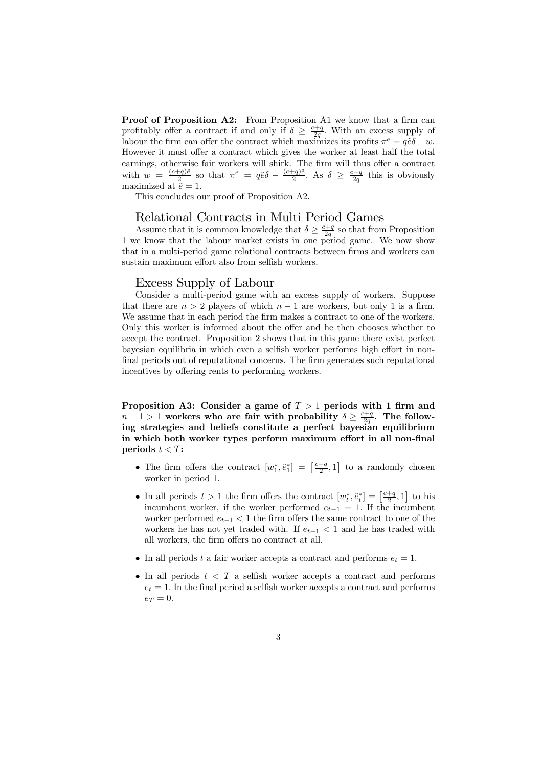Proof of Proposition A2: From Proposition A1 we know that a firm can profitably offer a contract if and only if  $\delta \geq \frac{c+q}{2q}$ . With an excess supply of labour the firm can offer the contract which maximizes its profits  $\pi^e = q\tilde{e}\delta - w$ . However it must offer a contract which gives the worker at least half the total earnings, otherwise fair workers will shirk. The firm will thus offer a contract with  $w = \frac{(c+q)\tilde{e}}{2}$  so that  $\pi^e = q\tilde{e}\delta - \frac{(c+q)\tilde{e}}{2}$ . As  $\delta \geq \frac{c+q}{2q}$  this is obviously maximized at  $\tilde{e} = 1$ .

This concludes our proof of Proposition A2.

#### Relational Contracts in Multi Period Games

Assume that it is common knowledge that  $\delta \geq \frac{c+q}{2q}$  so that from Proposition 1 we know that the labour market exists in one period game. We now show that in a multi-period game relational contracts between firms and workers can sustain maximum effort also from selfish workers.

#### Excess Supply of Labour

Consider a multi-period game with an excess supply of workers. Suppose that there are  $n > 2$  players of which  $n - 1$  are workers, but only 1 is a firm. We assume that in each period the firm makes a contract to one of the workers. Only this worker is informed about the offer and he then chooses whether to accept the contract. Proposition 2 shows that in this game there exist perfect bayesian equilibria in which even a selfish worker performs high effort in nonfinal periods out of reputational concerns. The firm generates such reputational incentives by offering rents to performing workers.

Proposition A3: Consider a game of  $T > 1$  periods with 1 firm and  $n-1 > 1$  workers who are fair with probability  $\delta \geq \frac{c+q}{2q}$ . The following strategies and beliefs constitute a perfect bayesian equilibrium in which both worker types perform maximum effort in all non-final periods  $t < T$ :

- The firm offers the contract  $[w_1^*, \tilde{e}_1^*] = \left[\frac{c+q}{2}, 1\right]$  to a randomly chosen worker in period 1.
- In all periods  $t > 1$  the firm offers the contract  $[w_t^*, \tilde{e}_t^*] = \left[\frac{c+q}{2}, 1\right]$  to his incumbent worker, if the worker performed  $e_{t-1} = 1$ . If the incumbent worker performed  $e_{t-1}$  < 1 the firm offers the same contract to one of the workers he has not yet traded with. If  $e_{t-1} < 1$  and he has traded with all workers, the firm offers no contract at all.
- In all periods t a fair worker accepts a contract and performs  $e_t = 1$ .
- In all periods  $t < T$  a selfish worker accepts a contract and performs  $e_t = 1$ . In the final period a selfish worker accepts a contract and performs  $e_T = 0.$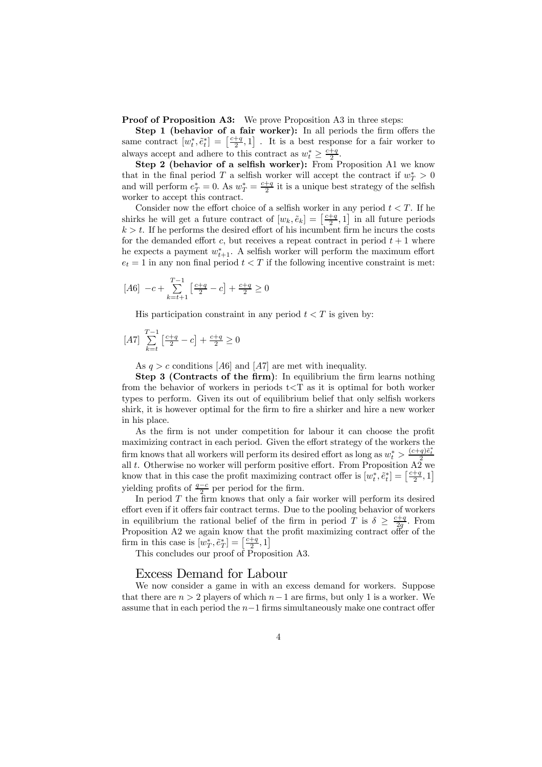Proof of Proposition A3: We prove Proposition A3 in three steps:

Step 1 (behavior of a fair worker): In all periods the firm offers the same contract  $[w_t^*, \tilde{e}_t^*] = \left[\frac{c+q}{2}, 1\right]$ . It is a best response for a fair worker to always accept and adhere to this contract as  $w_t^* \geq \frac{c+q}{2}$ .

Step 2 (behavior of a selfish worker): From Proposition A1 we know that in the final period T a selfish worker will accept the contract if  $w_T^* > 0$ and will perform  $e^*_T = 0$ . As  $w^*_T = \frac{c+q}{2}$  it is a unique best strategy of the selfish worker to accept this contract.

Consider now the effort choice of a selfish worker in any period  $t < T$ . If he shirks he will get a future contract of  $[w_k, \tilde{e}_k] = \left[\frac{c+q}{2}, 1\right]$  in all future periods  $k > t$ . If he performs the desired effort of his incumbent firm he incurs the costs for the demanded effort c, but receives a repeat contract in period  $t + 1$  where he expects a payment  $w_{t+1}^*$ . A selfish worker will perform the maximum effort  $e_t = 1$  in any non final period  $t < T$  if the following incentive constraint is met:

$$
[A6] \ -c + \sum_{k=t+1}^{T-1} \left[ \frac{c+q}{2} - c \right] + \frac{c+q}{2} \ge 0
$$

His participation constraint in any period  $t < T$  is given by:

$$
[A7] \sum_{k=t}^{T-1} \left[ \frac{c+q}{2} - c \right] + \frac{c+q}{2} \ge 0
$$

As  $q > c$  conditions [A6] and [A7] are met with inequality.

Step 3 (Contracts of the firm): In equilibrium the firm learns nothing from the behavior of workers in periods  $t < T$  as it is optimal for both worker types to perform. Given its out of equilibrium belief that only selfish workers shirk, it is however optimal for the firm to fire a shirker and hire a new worker in his place.

As the firm is not under competition for labour it can choose the profit maximizing contract in each period. Given the effort strategy of the workers the firm knows that all workers will perform its desired effort as long as  $w_t^* > \frac{(c+q)\tilde{e}_t^*}{2}$ all t. Otherwise no worker will perform positive effort. From Proposition  $A\overline{2}$  we know that in this case the profit maximizing contract offer is  $[w_t^*, \tilde{e}_t^*] = \left[\frac{c+q}{2}, 1\right]$ yielding profits of  $\frac{q-c}{2}$  per period for the firm.

In period  $T$  the firm knows that only a fair worker will perform its desired effort even if it offers fair contract terms. Due to the pooling behavior of workers in equilibrium the rational belief of the firm in period T is  $\delta \geq \frac{c+q}{2g}$ . From Proposition A2 we again know that the profit maximizing contract offer of the firm in this case is  $[w_T^*, \tilde{e}_T^*] = \left[\frac{c+q}{2}, 1\right]$ 

This concludes our proof of Proposition A3.

#### Excess Demand for Labour

We now consider a game in with an excess demand for workers. Suppose that there are  $n > 2$  players of which  $n-1$  are firms, but only 1 is a worker. We assume that in each period the  $n-1$  firms simultaneously make one contract offer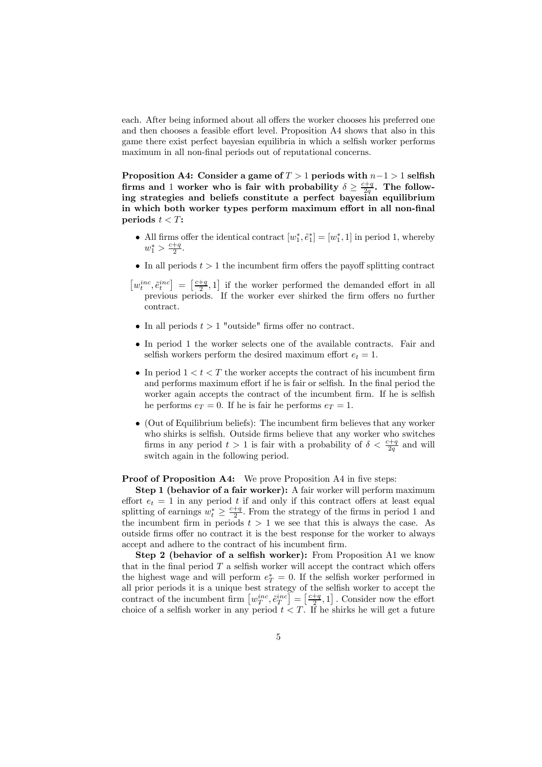each. After being informed about all offers the worker chooses his preferred one and then chooses a feasible effort level. Proposition A4 shows that also in this game there exist perfect bayesian equilibria in which a selfish worker performs maximum in all non-final periods out of reputational concerns.

Proposition A4: Consider a game of  $T > 1$  periods with  $n-1 > 1$  selfish firms and 1 worker who is fair with probability  $\delta \geq \frac{c+q}{2q}$ . The following strategies and beliefs constitute a perfect bayesian equilibrium in which both worker types perform maximum effort in all non-final periods  $t < T$ :

- All firms offer the identical contract  $[w_1^*, \tilde{e}_1^*] = [w_1^*, 1]$  in period 1, whereby  $w_1^* > \frac{c+q}{2}.$
- In all periods  $t > 1$  the incumbent firm offers the payoff splitting contract
- $\left[w_t^{inc}, \tilde{e}_t^{inc}\right] = \left[\frac{c+q}{2}, 1\right]$  if the worker performed the demanded effort in all previous periods. If the worker ever shirked the firm offers no further contract.
- In all periods  $t > 1$  "outside" firms offer no contract.
- In period 1 the worker selects one of the available contracts. Fair and selfish workers perform the desired maximum effort  $e_t = 1$ .
- In period  $1 < t < T$  the worker accepts the contract of his incumbent firm and performs maximum effort if he is fair or selfish. In the final period the worker again accepts the contract of the incumbent firm. If he is selfish he performs  $e_T = 0$ . If he is fair he performs  $e_T = 1$ .
- (Out of Equilibrium beliefs): The incumbent firm believes that any worker who shirks is selfish. Outside firms believe that any worker who switches firms in any period  $t > 1$  is fair with a probability of  $\delta < \frac{c+q}{2q}$  and will switch again in the following period.

#### Proof of Proposition A4: We prove Proposition A4 in five steps:

Step 1 (behavior of a fair worker): A fair worker will perform maximum effort  $e_t = 1$  in any period t if and only if this contract offers at least equal splitting of earnings  $w_t^* \geq \frac{c+q}{2}$ . From the strategy of the firms in period 1 and the incumbent firm in periods  $t > 1$  we see that this is always the case. As outside firms offer no contract it is the best response for the worker to always accept and adhere to the contract of his incumbent firm.

Step 2 (behavior of a selfish worker): From Proposition A1 we know that in the final period  $T$  a selfish worker will accept the contract which offers the highest wage and will perform  $e^*$ <sub>T</sub> = 0. If the selfish worker performed in all prior periods it is a unique best strategy of the selfish worker to accept the contract of the incumbent firm  $\left[w_T^{inc}, \tilde{e}_T^{inc}\right] = \left[\frac{c+q}{2}, 1\right]$ . Consider now the effort choice of a selfish worker in any period  $t < T$ . If he shirks he will get a future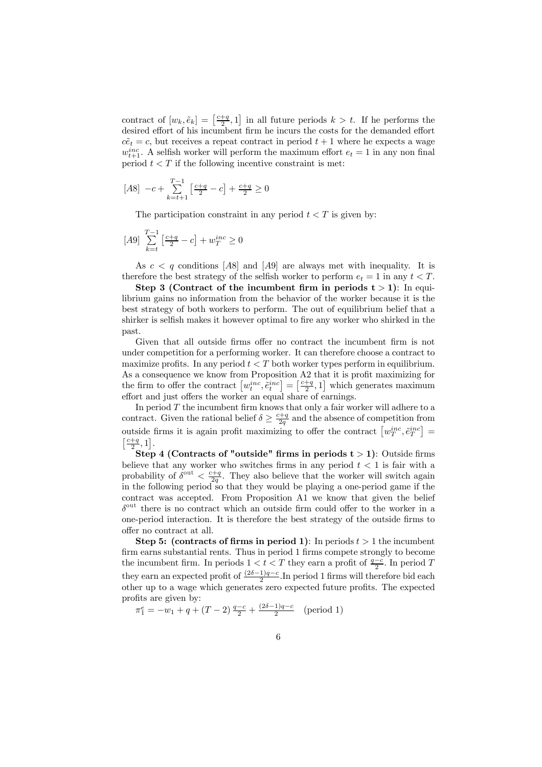contract of  $[w_k, \tilde{e}_k] = \left[\frac{c+q}{2}, 1\right]$  in all future periods  $k > t$ . If he performs the desired effort of his incumbent firm he incurs the costs for the demanded effort  $c\tilde{e}_t = c$ , but receives a repeat contract in period  $t + 1$  where he expects a wage  $w_{t+1}^{inc}$ . A selfish worker will perform the maximum effort  $e_t = 1$  in any non final period  $t < T$  if the following incentive constraint is met:

$$
[A8] \ -c + \sum_{k=t+1}^{T-1} \left[ \frac{c+q}{2} - c \right] + \frac{c+q}{2} \ge 0
$$

The participation constraint in any period  $t < T$  is given by:

$$
[A9] \sum_{k=t}^{T-1} \left[ \frac{c+q}{2} - c \right] + w_T^{inc} \ge 0
$$

As  $c < q$  conditions [A8] and [A9] are always met with inequality. It is therefore the best strategy of the selfish worker to perform  $e_t = 1$  in any  $t < T$ .

Step 3 (Contract of the incumbent firm in periods  $t > 1$ ): In equilibrium gains no information from the behavior of the worker because it is the best strategy of both workers to perform. The out of equilibrium belief that a shirker is selfish makes it however optimal to fire any worker who shirked in the past.

Given that all outside firms offer no contract the incumbent firm is not under competition for a performing worker. It can therefore choose a contract to maximize profits. In any period  $t < T$  both worker types perform in equilibrium. As a consequence we know from Proposition A2 that it is profit maximizing for the firm to offer the contract  $\left[w_t^{inc}, \tilde{e}_t^{inc}\right] = \left[\frac{c+q}{2}, 1\right]$  which generates maximum effort and just offers the worker an equal share of earnings.

In period  $T$  the incumbent firm knows that only a fair worker will adhere to a contract. Given the rational belief  $\delta \geq \frac{c+q}{2q}$  and the absence of competition from outside firms it is again profit maximizing to offer the contract  $\left[w_T^{inc}, \tilde{e}_T^{inc}\right] =$  $\left[\frac{c+q}{2},1\right]$ .

Step 4 (Contracts of "outside" firms in periods  $t > 1$ ): Outside firms believe that any worker who switches firms in any period  $t < 1$  is fair with a probability of  $\delta^{out} < \frac{c+q}{2q}$ . They also believe that the worker will switch again in the following period so that they would be playing a one-period game if the contract was accepted. From Proposition A1 we know that given the belief  $\delta^{\text{out}}$  there is no contract which an outside firm could offer to the worker in a one-period interaction. It is therefore the best strategy of the outside firms to offer no contract at all.

Step 5: (contracts of firms in period 1): In periods  $t > 1$  the incumbent firm earns substantial rents. Thus in period 1 firms compete strongly to become the incumbent firm. In periods  $1 < t < T$  they earn a profit of  $\frac{q-c}{2}$ . In period T they earn an expected profit of  $\frac{(2\delta-1)q-c}{2}$ . In period 1 firms will therefore bid each other up to a wage which generates zero expected future profits. The expected profits are given by:

$$
\pi_1^e = -w_1 + q + (T - 2)\frac{q - c}{2} + \frac{(2\delta - 1)q - c}{2} \quad \text{(period 1)}
$$